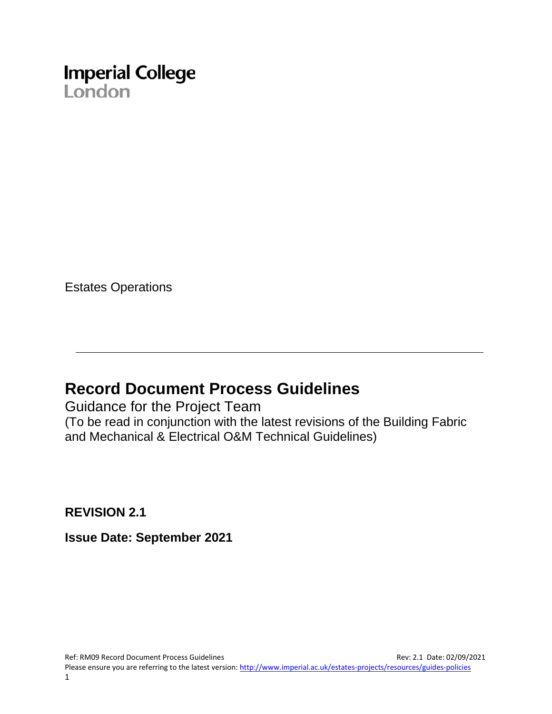

Estates Operations

### **Record Document Process Guidelines**

Guidance for the Project Team (To be read in conjunction with the latest revisions of the Building Fabric and Mechanical & Electrical O&M Technical Guidelines)

**REVISION 2.1**

**Issue Date: September 2021**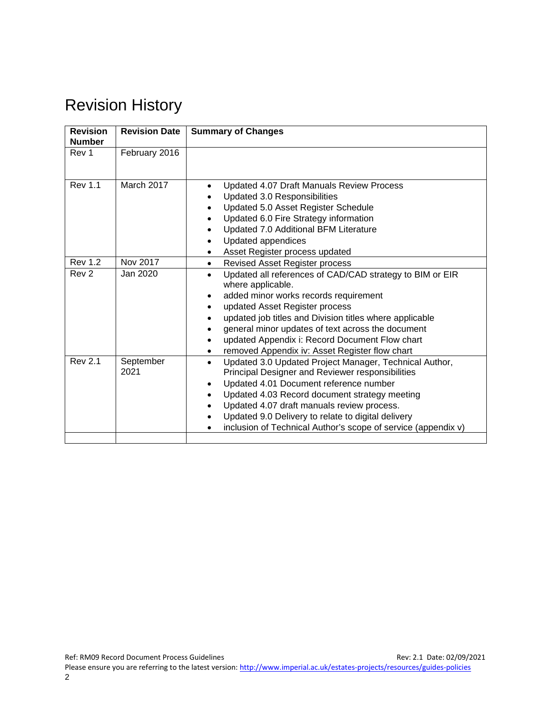## Revision History

| <b>Revision</b><br><b>Number</b> | <b>Revision Date</b> | <b>Summary of Changes</b>                                                                                                                                                                                                                                                                                                                                                                            |
|----------------------------------|----------------------|------------------------------------------------------------------------------------------------------------------------------------------------------------------------------------------------------------------------------------------------------------------------------------------------------------------------------------------------------------------------------------------------------|
| Rev 1                            | February 2016        |                                                                                                                                                                                                                                                                                                                                                                                                      |
| <b>Rev 1.1</b>                   | March 2017           | Updated 4.07 Draft Manuals Review Process<br>$\bullet$<br>Updated 3.0 Responsibilities<br>Updated 5.0 Asset Register Schedule<br>Updated 6.0 Fire Strategy information<br>Updated 7.0 Additional BFM Literature<br>Updated appendices<br>Asset Register process updated                                                                                                                              |
| <b>Rev 1.2</b>                   | Nov 2017             | Revised Asset Register process<br>$\bullet$                                                                                                                                                                                                                                                                                                                                                          |
| Rev <sub>2</sub>                 | Jan 2020             | Updated all references of CAD/CAD strategy to BIM or EIR<br>where applicable.<br>added minor works records requirement<br>updated Asset Register process<br>updated job titles and Division titles where applicable<br>general minor updates of text across the document<br>updated Appendix i: Record Document Flow chart<br>removed Appendix iv: Asset Register flow chart                         |
| <b>Rev 2.1</b>                   | September<br>2021    | Updated 3.0 Updated Project Manager, Technical Author,<br>$\bullet$<br>Principal Designer and Reviewer responsibilities<br>Updated 4.01 Document reference number<br>$\bullet$<br>Updated 4.03 Record document strategy meeting<br>Updated 4.07 draft manuals review process.<br>Updated 9.0 Delivery to relate to digital delivery<br>inclusion of Technical Author's scope of service (appendix v) |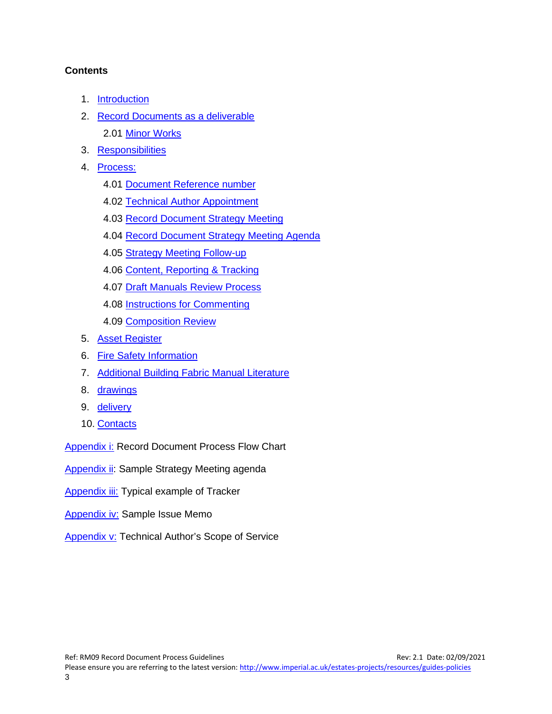#### **Contents**

- 1. [Introduction](#page-3-0)
- 2. [Record Documents as a deliverable](#page-3-1) 2.01 Minor Works
- 3. [Responsibilities](#page-4-0)
- 4. [Process:](#page-5-0)
	- 4.01 [Document Reference number](#page-5-1)
	- 4.02 [Technical Author Appointment](#page-5-2)
	- 4.03 [Record Document Strategy Meeting](#page-6-0)
	- 4.04 [Record Document Strategy Meeting Agenda](#page-6-1)
	- 4.05 [Strategy Meeting Follow-up](#page-7-0)
	- 4.06 [Content, Reporting & Tracking](#page-7-1)
	- 4.07 [Draft Manuals Review Process](#page-7-2)
	- 4.08 [Instructions for Commenting](#page-8-0)
	- 4.09 [Composition Review](#page-9-0)
- 5. [Asset Register](#page-9-1)
- 6. [Fire Safety Information](#page-9-2)
- 7. [Additional Building Fabric Manual Literature](#page-10-0)
- 8. [drawings](#page-10-1)
- 9. [delivery](#page-11-0)
- 10. [Contacts](#page-12-0)

[Appendix i:](#page-13-0) Record Document Process Flow Chart

[Appendix ii:](#page-15-0) Sample Strategy Meeting agenda

[Appendix iii:](#page-21-0) Typical example of Tracker

- [Appendix iv:](#page-24-0) Sample Issue Memo
- [Appendix v:](#page-26-0) Technical Author's Scope of Service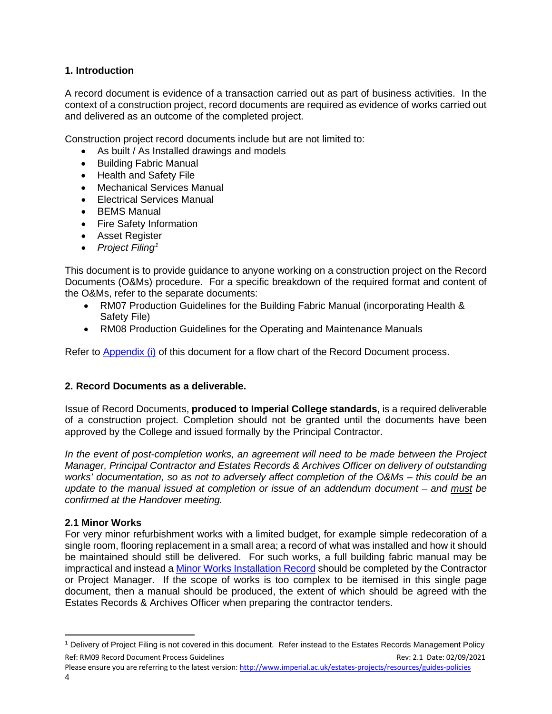#### <span id="page-3-0"></span>**1. Introduction**

A record document is evidence of a transaction carried out as part of business activities. In the context of a construction project, record documents are required as evidence of works carried out and delivered as an outcome of the completed project.

Construction project record documents include but are not limited to:

- As built / As Installed drawings and models
- Building Fabric Manual
- Health and Safety File
- Mechanical Services Manual
- Electrical Services Manual
- BEMS Manual
- Fire Safety Information
- Asset Register
- *Project Filing[1](#page-3-2)*

This document is to provide guidance to anyone working on a construction project on the Record Documents (O&Ms) procedure. For a specific breakdown of the required format and content of the O&Ms, refer to the separate documents:

- RM07 Production Guidelines for the Building Fabric Manual (incorporating Health & Safety File)
- RM08 Production Guidelines for the Operating and Maintenance Manuals

Refer to [Appendix \(i\)](#page-13-0) of this document for a flow chart of the Record Document process.

#### <span id="page-3-1"></span>**2. Record Documents as a deliverable.**

Issue of Record Documents, **produced to Imperial College standards**, is a required deliverable of a construction project. Completion should not be granted until the documents have been approved by the College and issued formally by the Principal Contractor.

*In the event of post-completion works, an agreement will need to be made between the Project Manager, Principal Contractor and Estates Records & Archives Officer on delivery of outstanding works' documentation, so as not to adversely affect completion of the O&Ms – this could be an update to the manual issued at completion or issue of an addendum document – and must be confirmed at the Handover meeting.*

#### **2.1 Minor Works**

For very minor refurbishment works with a limited budget, for example simple redecoration of a single room, flooring replacement in a small area; a record of what was installed and how it should be maintained should still be delivered. For such works, a full building fabric manual may be impractical and instead a [Minor Works Installation Record](http://www.imperial.ac.uk/media/imperial-college/administration-and-support-services/estates-facilities/public/buildings/minor-works/RM12MinorWorksInstallRecord.docx) should be completed by the Contractor or Project Manager. If the scope of works is too complex to be itemised in this single page document, then a manual should be produced, the extent of which should be agreed with the Estates Records & Archives Officer when preparing the contractor tenders.

<span id="page-3-2"></span>Ref: RM09 Record Document Process Guidelines Rev: 2.1 Date: 02/09/2021 <sup>1</sup> Delivery of Project Filing is not covered in this document. Refer instead to the Estates Records Management Policy

Please ensure you are referring to the latest version: <http://www.imperial.ac.uk/estates-projects/resources/guides-policies> 4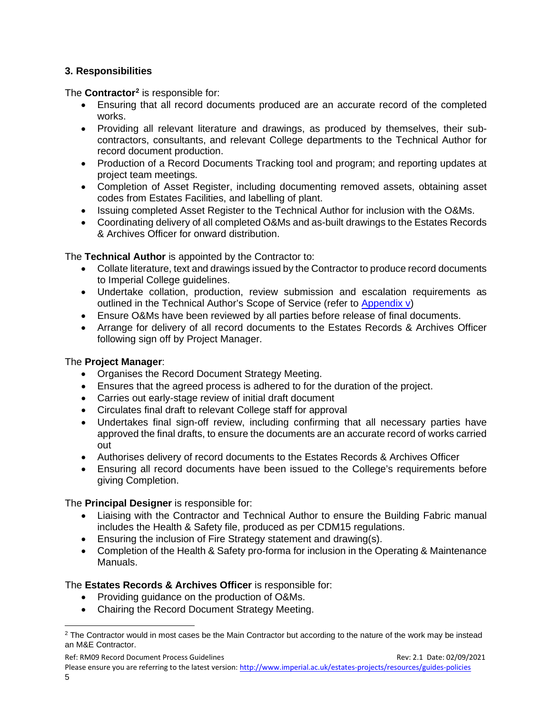#### <span id="page-4-0"></span>**3. Responsibilities**

The **Contractor[2](#page-4-1)** is responsible for:

- Ensuring that all record documents produced are an accurate record of the completed works.
- Providing all relevant literature and drawings, as produced by themselves, their subcontractors, consultants, and relevant College departments to the Technical Author for record document production.
- Production of a Record Documents Tracking tool and program; and reporting updates at project team meetings.
- Completion of Asset Register, including documenting removed assets, obtaining asset codes from Estates Facilities, and labelling of plant.
- Issuing completed Asset Register to the Technical Author for inclusion with the O&Ms.
- Coordinating delivery of all completed O&Ms and as-built drawings to the Estates Records & Archives Officer for onward distribution.

The **Technical Author** is appointed by the Contractor to:

- Collate literature, text and drawings issued by the Contractor to produce record documents to Imperial College guidelines.
- Undertake collation, production, review submission and escalation requirements as outlined in the Technical Author's Scope of Service (refer to [Appendix v\)](#page-26-0)
- Ensure O&Ms have been reviewed by all parties before release of final documents.
- Arrange for delivery of all record documents to the Estates Records & Archives Officer following sign off by Project Manager.

#### The **Project Manager**:

- Organises the Record Document Strategy Meeting.
- Ensures that the agreed process is adhered to for the duration of the project.
- Carries out early-stage review of initial draft document
- Circulates final draft to relevant College staff for approval
- Undertakes final sign-off review, including confirming that all necessary parties have approved the final drafts, to ensure the documents are an accurate record of works carried out
- Authorises delivery of record documents to the Estates Records & Archives Officer
- Ensuring all record documents have been issued to the College's requirements before giving Completion.

#### The **Principal Designer** is responsible for:

- Liaising with the Contractor and Technical Author to ensure the Building Fabric manual includes the Health & Safety file, produced as per CDM15 regulations.
- Ensuring the inclusion of Fire Strategy statement and drawing(s).
- Completion of the Health & Safety pro-forma for inclusion in the Operating & Maintenance Manuals.

#### The **Estates Records & Archives Officer** is responsible for:

- Providing guidance on the production of O&Ms.
- Chairing the Record Document Strategy Meeting.

<span id="page-4-1"></span><sup>&</sup>lt;sup>2</sup> The Contractor would in most cases be the Main Contractor but according to the nature of the work may be instead an M&E Contractor.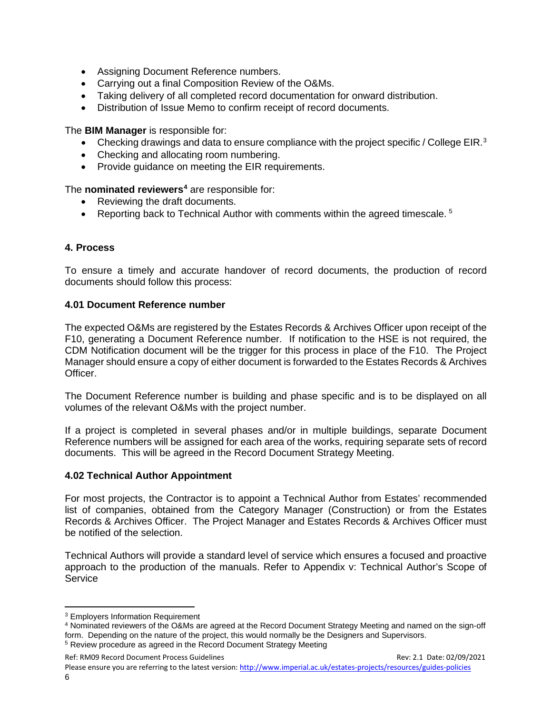- Assigning Document Reference numbers.
- Carrying out a final Composition Review of the O&Ms.
- Taking delivery of all completed record documentation for onward distribution.
- Distribution of Issue Memo to confirm receipt of record documents.

The **BIM Manager** is responsible for:

- Checking drawings and data to ensure compliance with the project specific / College EIR.<sup>[3](#page-5-3)</sup>
- Checking and allocating room numbering.
- Provide guidance on meeting the EIR requirements.

The **nominated reviewers[4](#page-5-4)** are responsible for:

- Reviewing the draft documents.
- Reporting back to Technical Author with comments within the agreed timescale.  $5$

#### <span id="page-5-0"></span>**4. Process**

To ensure a timely and accurate handover of record documents, the production of record documents should follow this process:

#### <span id="page-5-1"></span>**4.01 Document Reference number**

The expected O&Ms are registered by the Estates Records & Archives Officer upon receipt of the F10, generating a Document Reference number. If notification to the HSE is not required, the CDM Notification document will be the trigger for this process in place of the F10. The Project Manager should ensure a copy of either document is forwarded to the Estates Records & Archives Officer.

The Document Reference number is building and phase specific and is to be displayed on all volumes of the relevant O&Ms with the project number.

If a project is completed in several phases and/or in multiple buildings, separate Document Reference numbers will be assigned for each area of the works, requiring separate sets of record documents. This will be agreed in the Record Document Strategy Meeting.

#### <span id="page-5-2"></span>**4.02 Technical Author Appointment**

For most projects, the Contractor is to appoint a Technical Author from Estates' recommended list of companies, obtained from the Category Manager (Construction) or from the Estates Records & Archives Officer. The Project Manager and Estates Records & Archives Officer must be notified of the selection.

Technical Authors will provide a standard level of service which ensures a focused and proactive approach to the production of the manuals. Refer to Appendix v: Technical Author's Scope of **Service** 

Ref: RM09 Record Document Process Guidelines Rev: 2.1 Date: 02/09/2021 Please ensure you are referring to the latest version: <http://www.imperial.ac.uk/estates-projects/resources/guides-policies> 6

<span id="page-5-3"></span><sup>&</sup>lt;sup>3</sup> Employers Information Requirement

<span id="page-5-4"></span><sup>4</sup> Nominated reviewers of the O&Ms are agreed at the Record Document Strategy Meeting and named on the sign-off form. Depending on the nature of the project, this would normally be the Designers and Supervisors.

<span id="page-5-5"></span><sup>&</sup>lt;sup>5</sup> Review procedure as agreed in the Record Document Strategy Meeting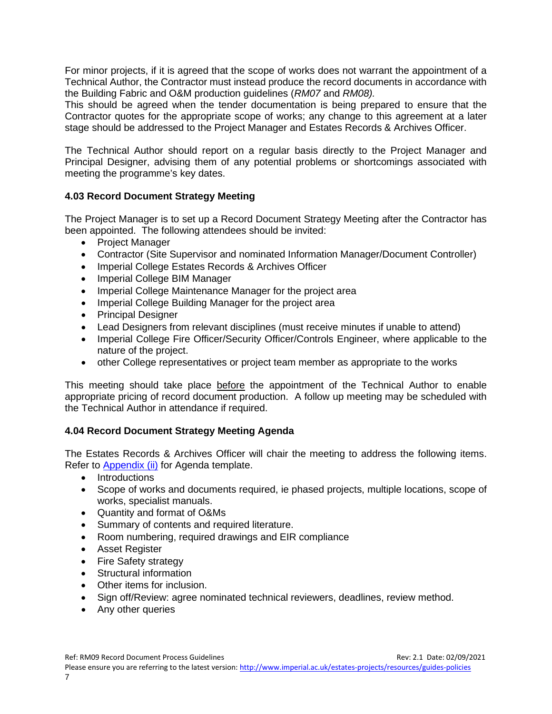For minor projects, if it is agreed that the scope of works does not warrant the appointment of a Technical Author, the Contractor must instead produce the record documents in accordance with the Building Fabric and O&M production guidelines (*RM07* and *RM08).* 

This should be agreed when the tender documentation is being prepared to ensure that the Contractor quotes for the appropriate scope of works; any change to this agreement at a later stage should be addressed to the Project Manager and Estates Records & Archives Officer.

The Technical Author should report on a regular basis directly to the Project Manager and Principal Designer, advising them of any potential problems or shortcomings associated with meeting the programme's key dates.

#### <span id="page-6-0"></span>**4.03 Record Document Strategy Meeting**

The Project Manager is to set up a Record Document Strategy Meeting after the Contractor has been appointed. The following attendees should be invited:

- Project Manager
- Contractor (Site Supervisor and nominated Information Manager/Document Controller)
- Imperial College Estates Records & Archives Officer
- Imperial College BIM Manager
- Imperial College Maintenance Manager for the project area
- Imperial College Building Manager for the project area
- Principal Designer
- Lead Designers from relevant disciplines (must receive minutes if unable to attend)
- Imperial College Fire Officer/Security Officer/Controls Engineer, where applicable to the nature of the project.
- other College representatives or project team member as appropriate to the works

This meeting should take place before the appointment of the Technical Author to enable appropriate pricing of record document production. A follow up meeting may be scheduled with the Technical Author in attendance if required.

#### <span id="page-6-1"></span>**4.04 Record Document Strategy Meeting Agenda**

The Estates Records & Archives Officer will chair the meeting to address the following items. Refer to [Appendix \(ii\)](#page-15-0) for Agenda template.

- Introductions
- Scope of works and documents required, ie phased projects, multiple locations, scope of works, specialist manuals.
- Quantity and format of O&Ms
- Summary of contents and required literature.
- Room numbering, required drawings and EIR compliance
- Asset Register
- Fire Safety strategy
- Structural information
- Other items for inclusion.
- Sign off/Review: agree nominated technical reviewers, deadlines, review method.
- Any other queries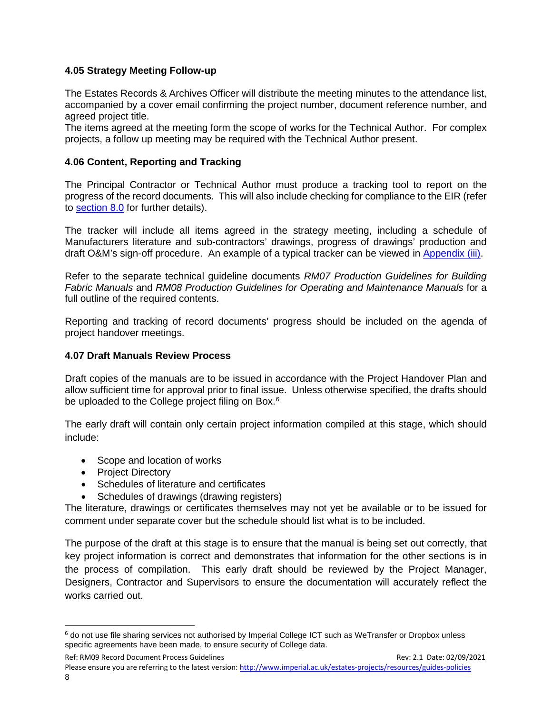#### <span id="page-7-0"></span>**4.05 Strategy Meeting Follow-up**

The Estates Records & Archives Officer will distribute the meeting minutes to the attendance list, accompanied by a cover email confirming the project number, document reference number, and agreed project title.

The items agreed at the meeting form the scope of works for the Technical Author. For complex projects, a follow up meeting may be required with the Technical Author present.

#### <span id="page-7-1"></span>**4.06 Content, Reporting and Tracking**

The Principal Contractor or Technical Author must produce a tracking tool to report on the progress of the record documents. This will also include checking for compliance to the EIR (refer to [section 8.0](#page-10-1) for further details).

The tracker will include all items agreed in the strategy meeting, including a schedule of Manufacturers literature and sub-contractors' drawings, progress of drawings' production and draft O&M's sign-off procedure. An example of a typical tracker can be viewed in [Appendix \(iii\).](#page-21-1)

Refer to the separate technical guideline documents *RM07 Production Guidelines for Building Fabric Manuals* and *RM08 Production Guidelines for Operating and Maintenance Manuals* for a full outline of the required contents.

<span id="page-7-2"></span>Reporting and tracking of record documents' progress should be included on the agenda of project handover meetings.

#### **4.07 Draft Manuals Review Process**

Draft copies of the manuals are to be issued in accordance with the Project Handover Plan and allow sufficient time for approval prior to final issue. Unless otherwise specified, the drafts should be uploaded to the College project filing on Box.<sup>[6](#page-7-3)</sup>

The early draft will contain only certain project information compiled at this stage, which should include:

- Scope and location of works
- Project Directory
- Schedules of literature and certificates
- Schedules of drawings (drawing registers)

The literature, drawings or certificates themselves may not yet be available or to be issued for comment under separate cover but the schedule should list what is to be included.

The purpose of the draft at this stage is to ensure that the manual is being set out correctly, that key project information is correct and demonstrates that information for the other sections is in the process of compilation. This early draft should be reviewed by the Project Manager, Designers, Contractor and Supervisors to ensure the documentation will accurately reflect the works carried out.

<span id="page-7-3"></span><sup>6</sup> do not use file sharing services not authorised by Imperial College ICT such as WeTransfer or Dropbox unless specific agreements have been made, to ensure security of College data.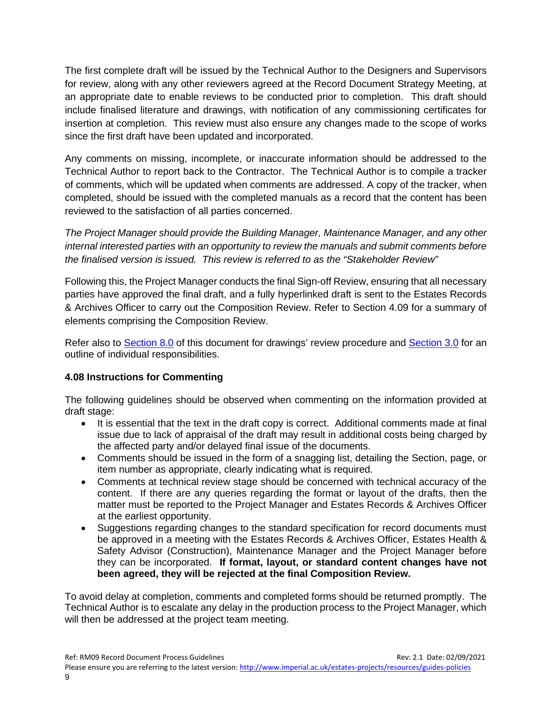The first complete draft will be issued by the Technical Author to the Designers and Supervisors for review, along with any other reviewers agreed at the Record Document Strategy Meeting, at an appropriate date to enable reviews to be conducted prior to completion. This draft should include finalised literature and drawings, with notification of any commissioning certificates for insertion at completion. This review must also ensure any changes made to the scope of works since the first draft have been updated and incorporated.

Any comments on missing, incomplete, or inaccurate information should be addressed to the Technical Author to report back to the Contractor. The Technical Author is to compile a tracker of comments, which will be updated when comments are addressed. A copy of the tracker, when completed, should be issued with the completed manuals as a record that the content has been reviewed to the satisfaction of all parties concerned.

*The Project Manager should provide the Building Manager, Maintenance Manager, and any other internal interested parties with an opportunity to review the manuals and submit comments before the finalised version is issued. This review is referred to as the "Stakeholder Review"*

Following this, the Project Manager conducts the final Sign-off Review, ensuring that all necessary parties have approved the final draft, and a fully hyperlinked draft is sent to the Estates Records & Archives Officer to carry out the Composition Review. Refer to Section 4.09 for a summary of elements comprising the Composition Review.

Refer also to [Section 8.0](#page-10-1) of this document for drawings' review procedure and [Section 3.0](#page-4-0) for an outline of individual responsibilities.

#### <span id="page-8-0"></span>**4.08 Instructions for Commenting**

The following guidelines should be observed when commenting on the information provided at draft stage:

- It is essential that the text in the draft copy is correct. Additional comments made at final issue due to lack of appraisal of the draft may result in additional costs being charged by the affected party and/or delayed final issue of the documents.
- Comments should be issued in the form of a snagging list, detailing the Section, page, or item number as appropriate, clearly indicating what is required.
- Comments at technical review stage should be concerned with technical accuracy of the content. If there are any queries regarding the format or layout of the drafts, then the matter must be reported to the Project Manager and Estates Records & Archives Officer at the earliest opportunity.
- Suggestions regarding changes to the standard specification for record documents must be approved in a meeting with the Estates Records & Archives Officer, Estates Health & Safety Advisor (Construction), Maintenance Manager and the Project Manager before they can be incorporated. **If format, layout, or standard content changes have not been agreed, they will be rejected at the final Composition Review.**

To avoid delay at completion, comments and completed forms should be returned promptly. The Technical Author is to escalate any delay in the production process to the Project Manager, which will then be addressed at the project team meeting.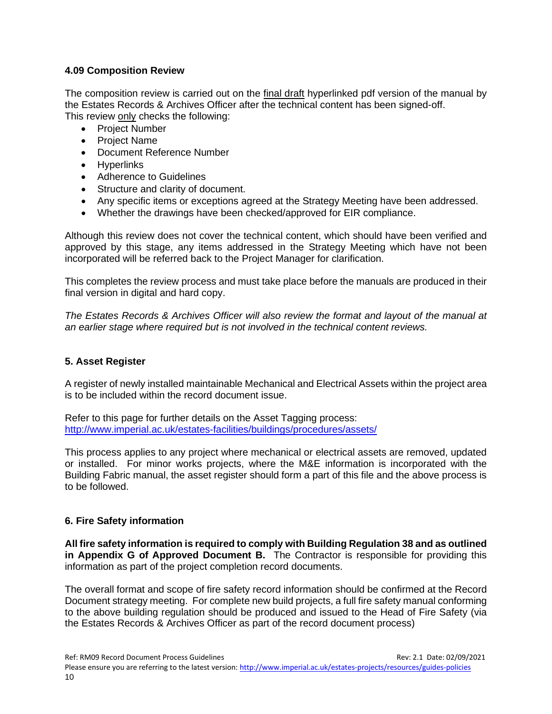#### <span id="page-9-0"></span>**4.09 Composition Review**

The composition review is carried out on the final draft hyperlinked pdf version of the manual by the Estates Records & Archives Officer after the technical content has been signed-off. This review only checks the following:

- Project Number
- Project Name
- Document Reference Number
- Hyperlinks
- Adherence to Guidelines
- Structure and clarity of document.
- Any specific items or exceptions agreed at the Strategy Meeting have been addressed.
- Whether the drawings have been checked/approved for EIR compliance.

Although this review does not cover the technical content, which should have been verified and approved by this stage, any items addressed in the Strategy Meeting which have not been incorporated will be referred back to the Project Manager for clarification.

This completes the review process and must take place before the manuals are produced in their final version in digital and hard copy.

*The Estates Records & Archives Officer will also review the format and layout of the manual at an earlier stage where required but is not involved in the technical content reviews.*

#### <span id="page-9-1"></span>**5. Asset Register**

A register of newly installed maintainable Mechanical and Electrical Assets within the project area is to be included within the record document issue.

Refer to this page for further details on the Asset Tagging process: <http://www.imperial.ac.uk/estates-facilities/buildings/procedures/assets/>

This process applies to any project where mechanical or electrical assets are removed, updated or installed. For minor works projects, where the M&E information is incorporated with the Building Fabric manual, the asset register should form a part of this file and the above process is to be followed.

#### <span id="page-9-2"></span>**6. Fire Safety information**

**All fire safety information is required to comply with Building Regulation 38 and as outlined in Appendix G of Approved Document B.** The Contractor is responsible for providing this information as part of the project completion record documents.

The overall format and scope of fire safety record information should be confirmed at the Record Document strategy meeting. For complete new build projects, a full fire safety manual conforming to the above building regulation should be produced and issued to the Head of Fire Safety (via the Estates Records & Archives Officer as part of the record document process)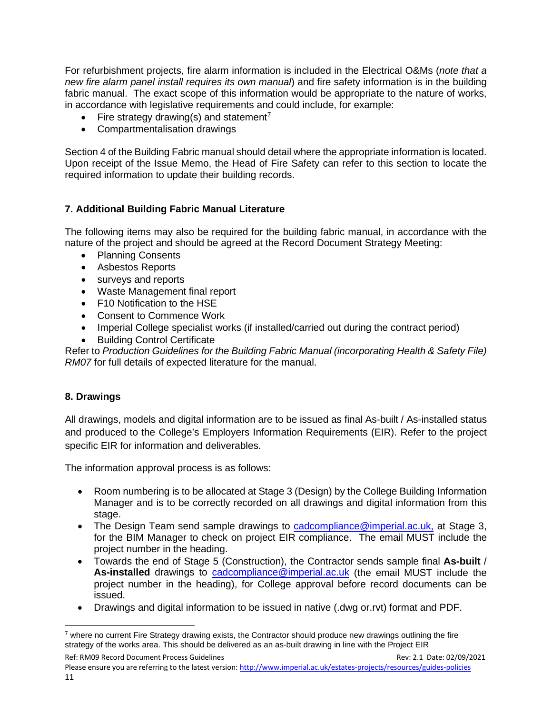For refurbishment projects, fire alarm information is included in the Electrical O&Ms (*note that a new fire alarm panel install requires its own manual*) and fire safety information is in the building fabric manual. The exact scope of this information would be appropriate to the nature of works, in accordance with legislative requirements and could include, for example:

- Fire strategy drawing(s) and statement<sup>[7](#page-10-2)</sup>
- Compartmentalisation drawings

Section 4 of the Building Fabric manual should detail where the appropriate information is located. Upon receipt of the Issue Memo, the Head of Fire Safety can refer to this section to locate the required information to update their building records.

#### <span id="page-10-0"></span>**7. Additional Building Fabric Manual Literature**

The following items may also be required for the building fabric manual, in accordance with the nature of the project and should be agreed at the Record Document Strategy Meeting:

- Planning Consents
- Asbestos Reports
- surveys and reports
- Waste Management final report
- F10 Notification to the HSE
- Consent to Commence Work
- Imperial College specialist works (if installed/carried out during the contract period)
- **Building Control Certificate**

Refer to *Production Guidelines for the Building Fabric Manual (incorporating Health & Safety File) RM07* for full details of expected literature for the manual.

#### <span id="page-10-1"></span>**8. Drawings**

All drawings, models and digital information are to be issued as final As-built / As-installed status and produced to the College's Employers Information Requirements (EIR). Refer to the project specific EIR for information and deliverables.

The information approval process is as follows:

- Room numbering is to be allocated at Stage 3 (Design) by the College Building Information Manager and is to be correctly recorded on all drawings and digital information from this stage.
- The Design Team send sample drawings to [cadcompliance@imperial.ac.uk,](mailto:cadcompliance@imperial.ac.uk) at Stage 3, for the BIM Manager to check on project EIR compliance. The email MUST include the project number in the heading.
- Towards the end of Stage 5 (Construction), the Contractor sends sample final **As-built** / **As-installed** drawings to [cadcompliance@imperial.ac.uk](mailto:cadcompliance@imperial.ac.uk) (the email MUST include the project number in the heading), for College approval before record documents can be issued.
- Drawings and digital information to be issued in native (.dwg or.rvt) format and PDF.

<span id="page-10-2"></span> $7$  where no current Fire Strategy drawing exists, the Contractor should produce new drawings outlining the fire strategy of the works area. This should be delivered as an as-built drawing in line with the Project EIR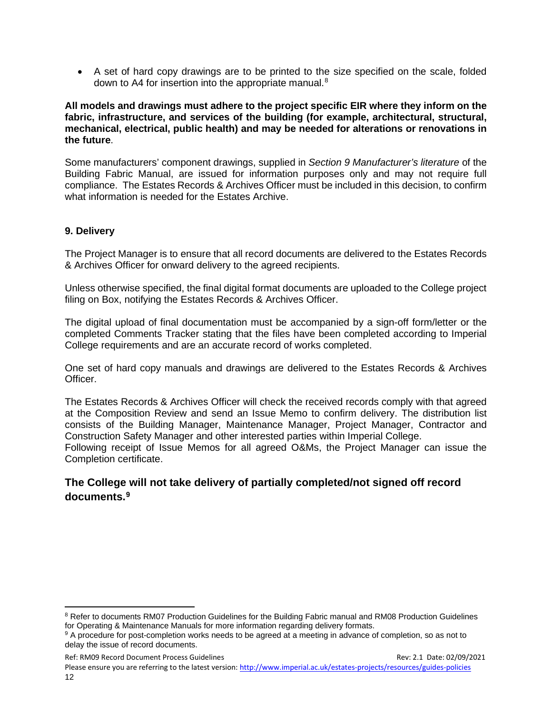• A set of hard copy drawings are to be printed to the size specified on the scale, folded down to A4 for insertion into the appropriate manual.<sup>[8](#page-11-1)</sup>

#### **All models and drawings must adhere to the project specific EIR where they inform on the fabric, infrastructure, and services of the building (for example, architectural, structural, mechanical, electrical, public health) and may be needed for alterations or renovations in the future**.

Some manufacturers' component drawings, supplied in *Section 9 Manufacturer's literature* of the Building Fabric Manual, are issued for information purposes only and may not require full compliance. The Estates Records & Archives Officer must be included in this decision, to confirm what information is needed for the Estates Archive.

#### <span id="page-11-0"></span>**9. Delivery**

The Project Manager is to ensure that all record documents are delivered to the Estates Records & Archives Officer for onward delivery to the agreed recipients.

Unless otherwise specified, the final digital format documents are uploaded to the College project filing on Box, notifying the Estates Records & Archives Officer.

The digital upload of final documentation must be accompanied by a sign-off form/letter or the completed Comments Tracker stating that the files have been completed according to Imperial College requirements and are an accurate record of works completed.

One set of hard copy manuals and drawings are delivered to the Estates Records & Archives **Officer** 

The Estates Records & Archives Officer will check the received records comply with that agreed at the Composition Review and send an Issue Memo to confirm delivery. The distribution list consists of the Building Manager, Maintenance Manager, Project Manager, Contractor and Construction Safety Manager and other interested parties within Imperial College.

Following receipt of Issue Memos for all agreed O&Ms, the Project Manager can issue the Completion certificate.

#### **The College will not take delivery of partially completed/not signed off record documents.[9](#page-11-2)**

<span id="page-11-1"></span><sup>&</sup>lt;sup>8</sup> Refer to documents RM07 Production Guidelines for the Building Fabric manual and RM08 Production Guidelines for Operating & Maintenance Manuals for more information regarding delivery formats.

<span id="page-11-2"></span><sup>9</sup> A procedure for post-completion works needs to be agreed at a meeting in advance of completion, so as not to delay the issue of record documents.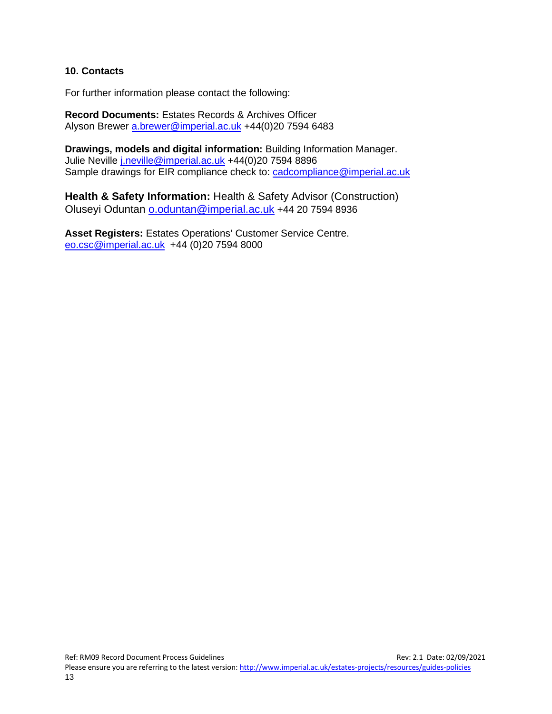#### <span id="page-12-0"></span>**10. Contacts**

For further information please contact the following:

**Record Documents:** Estates Records & Archives Officer Alyson Brewer [a.brewer@imperial.ac.uk](mailto:a.brewer@imperial.ac.uk) +44(0)20 7594 6483

**Drawings, models and digital information:** Building Information Manager. Julie Neville *j.neville@imperial.ac.uk* +44(0)20 7594 8896 Sample drawings for EIR compliance check to: [cadcompliance@imperial.ac.uk](mailto:cadcompliance@imperial.ac.uk)

**Health & Safety Information:** Health & Safety Advisor (Construction) Oluseyi Oduntan [o.oduntan@imperial.ac.uk](mailto:o.oduntan@imperial.ac.uk) +44 20 7594 8936

**Asset Registers:** Estates Operations' Customer Service Centre. [eo.csc@imperial.ac.uk](mailto:eo.csc@imperial.ac.uk) +44 (0)20 7594 8000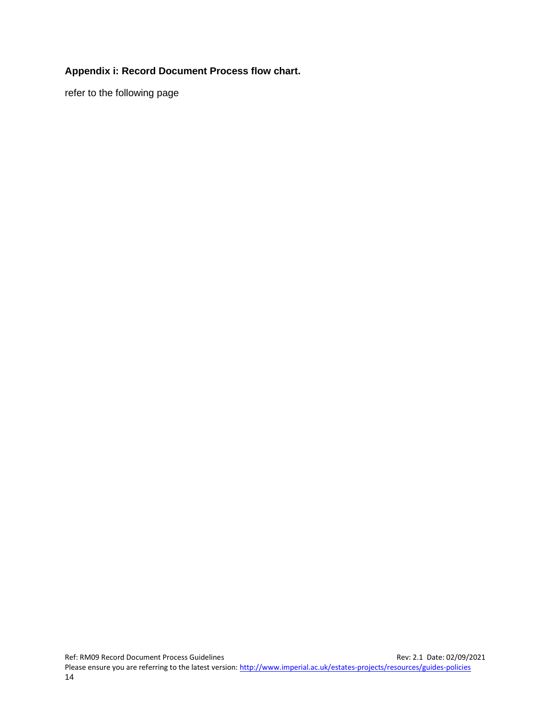#### <span id="page-13-0"></span>**Appendix i: Record Document Process flow chart.**

refer to the following page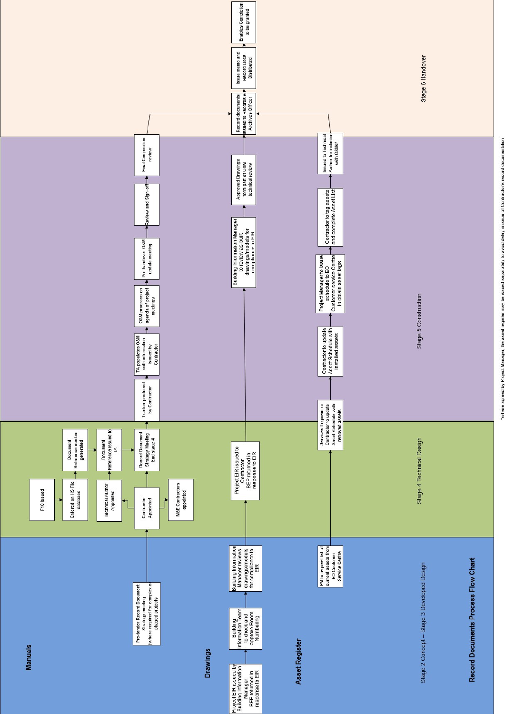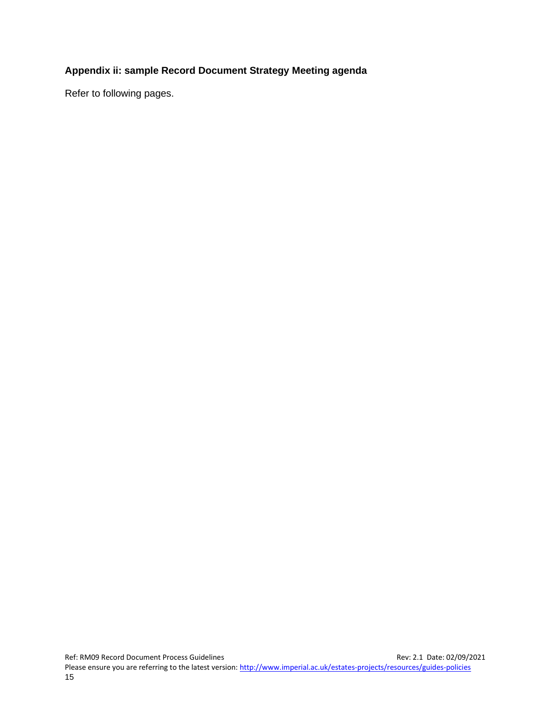#### <span id="page-15-0"></span>**Appendix ii: sample Record Document Strategy Meeting agenda**

Refer to following pages.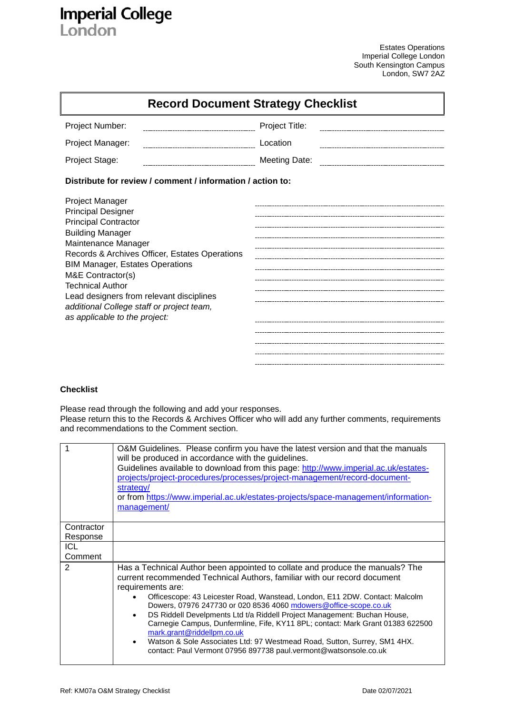# **Imperial College**<br>London

Estates Operations Imperial College London South Kensington Campus London, SW7 2AZ

|                                                                                                                                                                                                                                                                                                                                                                                                     | <b>Record Document Strategy Checklist</b> |
|-----------------------------------------------------------------------------------------------------------------------------------------------------------------------------------------------------------------------------------------------------------------------------------------------------------------------------------------------------------------------------------------------------|-------------------------------------------|
| Project Number:                                                                                                                                                                                                                                                                                                                                                                                     | Project Title:                            |
| Project Manager:                                                                                                                                                                                                                                                                                                                                                                                    | Location                                  |
| Project Stage:                                                                                                                                                                                                                                                                                                                                                                                      | <b>Meeting Date:</b>                      |
| Distribute for review / comment / information / action to:                                                                                                                                                                                                                                                                                                                                          |                                           |
| Project Manager<br><b>Principal Designer</b><br><b>Principal Contractor</b><br><b>Building Manager</b><br>Maintenance Manager<br>Records & Archives Officer, Estates Operations<br><b>BIM Manager, Estates Operations</b><br>M&E Contractor(s)<br><b>Technical Author</b><br>Lead designers from relevant disciplines<br>additional College staff or project team,<br>as applicable to the project: |                                           |

#### **Checklist**

Please read through the following and add your responses. Please return this to the Records & Archives Officer who will add any further comments, requirements and recommendations to the Comment section.

|            | O&M Guidelines. Please confirm you have the latest version and that the manuals<br>will be produced in accordance with the guidelines.<br>Guidelines available to download from this page: http://www.imperial.ac.uk/estates-<br>projects/project-procedures/processes/project-management/record-document-<br>strategy/<br>or from https://www.imperial.ac.uk/estates-projects/space-management/information-<br>management/                                                                                                                                                                                                                                                                             |
|------------|---------------------------------------------------------------------------------------------------------------------------------------------------------------------------------------------------------------------------------------------------------------------------------------------------------------------------------------------------------------------------------------------------------------------------------------------------------------------------------------------------------------------------------------------------------------------------------------------------------------------------------------------------------------------------------------------------------|
|            |                                                                                                                                                                                                                                                                                                                                                                                                                                                                                                                                                                                                                                                                                                         |
| Contractor |                                                                                                                                                                                                                                                                                                                                                                                                                                                                                                                                                                                                                                                                                                         |
| Response   |                                                                                                                                                                                                                                                                                                                                                                                                                                                                                                                                                                                                                                                                                                         |
| <b>ICL</b> |                                                                                                                                                                                                                                                                                                                                                                                                                                                                                                                                                                                                                                                                                                         |
| Comment    |                                                                                                                                                                                                                                                                                                                                                                                                                                                                                                                                                                                                                                                                                                         |
| 2          | Has a Technical Author been appointed to collate and produce the manuals? The<br>current recommended Technical Authors, familiar with our record document<br>requirements are:<br>Officescope: 43 Leicester Road, Wanstead, London, E11 2DW. Contact: Malcolm<br>Dowers, 07976 247730 or 020 8536 4060 mdowers@office-scope.co.uk<br>DS Riddell Develpments Ltd t/a Riddell Project Management: Buchan House,<br>$\bullet$<br>Carnegie Campus, Dunfermline, Fife, KY11 8PL; contact: Mark Grant 01383 622500<br>mark.grant@riddellpm.co.uk<br>Watson & Sole Associates Ltd: 97 Westmead Road, Sutton, Surrey, SM1 4HX.<br>$\bullet$<br>contact: Paul Vermont 07956 897738 paul.vermont@watsonsole.co.uk |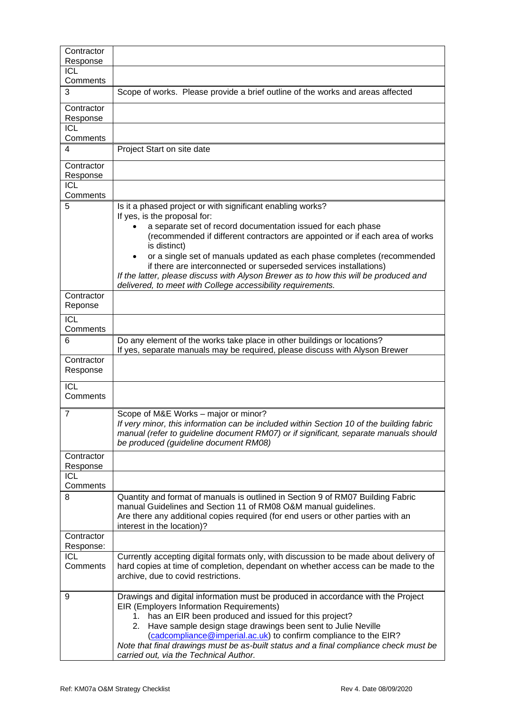| Contractor                   |                                                                                                                                                                                                                                                                                                                                                                                                                                                                                                                                                                   |
|------------------------------|-------------------------------------------------------------------------------------------------------------------------------------------------------------------------------------------------------------------------------------------------------------------------------------------------------------------------------------------------------------------------------------------------------------------------------------------------------------------------------------------------------------------------------------------------------------------|
| Response<br><b>ICL</b>       |                                                                                                                                                                                                                                                                                                                                                                                                                                                                                                                                                                   |
| Comments                     |                                                                                                                                                                                                                                                                                                                                                                                                                                                                                                                                                                   |
| 3                            | Scope of works. Please provide a brief outline of the works and areas affected                                                                                                                                                                                                                                                                                                                                                                                                                                                                                    |
| Contractor<br>Response       |                                                                                                                                                                                                                                                                                                                                                                                                                                                                                                                                                                   |
| <b>ICL</b><br>Comments       |                                                                                                                                                                                                                                                                                                                                                                                                                                                                                                                                                                   |
| 4                            | Project Start on site date                                                                                                                                                                                                                                                                                                                                                                                                                                                                                                                                        |
| Contractor<br>Response       |                                                                                                                                                                                                                                                                                                                                                                                                                                                                                                                                                                   |
| <b>ICL</b><br>Comments       |                                                                                                                                                                                                                                                                                                                                                                                                                                                                                                                                                                   |
| 5                            | Is it a phased project or with significant enabling works?<br>If yes, is the proposal for:<br>a separate set of record documentation issued for each phase<br>(recommended if different contractors are appointed or if each area of works<br>is distinct)<br>or a single set of manuals updated as each phase completes (recommended<br>if there are interconnected or superseded services installations)<br>If the latter, please discuss with Alyson Brewer as to how this will be produced and<br>delivered, to meet with College accessibility requirements. |
| Contractor<br>Reponse        |                                                                                                                                                                                                                                                                                                                                                                                                                                                                                                                                                                   |
| $\overline{ICL}$<br>Comments |                                                                                                                                                                                                                                                                                                                                                                                                                                                                                                                                                                   |
| 6                            | Do any element of the works take place in other buildings or locations?<br>If yes, separate manuals may be required, please discuss with Alyson Brewer                                                                                                                                                                                                                                                                                                                                                                                                            |
| Contractor<br>Response       |                                                                                                                                                                                                                                                                                                                                                                                                                                                                                                                                                                   |
| $\overline{ICL}$<br>Comments |                                                                                                                                                                                                                                                                                                                                                                                                                                                                                                                                                                   |
| 7                            | Scope of M&E Works - major or minor?<br>If very minor, this information can be included within Section 10 of the building fabric<br>manual (refer to guideline document RM07) or if significant, separate manuals should<br>be produced (guideline document RM08)                                                                                                                                                                                                                                                                                                 |
| Contractor<br>Response       |                                                                                                                                                                                                                                                                                                                                                                                                                                                                                                                                                                   |
| ICL<br>Comments              |                                                                                                                                                                                                                                                                                                                                                                                                                                                                                                                                                                   |
| 8                            | Quantity and format of manuals is outlined in Section 9 of RM07 Building Fabric<br>manual Guidelines and Section 11 of RM08 O&M manual guidelines.<br>Are there any additional copies required (for end users or other parties with an<br>interest in the location)?                                                                                                                                                                                                                                                                                              |
| Contractor<br>Response:      |                                                                                                                                                                                                                                                                                                                                                                                                                                                                                                                                                                   |
| ICL<br>Comments              | Currently accepting digital formats only, with discussion to be made about delivery of<br>hard copies at time of completion, dependant on whether access can be made to the<br>archive, due to covid restrictions.                                                                                                                                                                                                                                                                                                                                                |
| 9                            | Drawings and digital information must be produced in accordance with the Project<br>EIR (Employers Information Requirements)<br>has an EIR been produced and issued for this project?<br>Have sample design stage drawings been sent to Julie Neville<br>2.<br>(cadcompliance@imperial.ac.uk) to confirm compliance to the EIR?<br>Note that final drawings must be as-built status and a final compliance check must be<br>carried out, via the Technical Author.                                                                                                |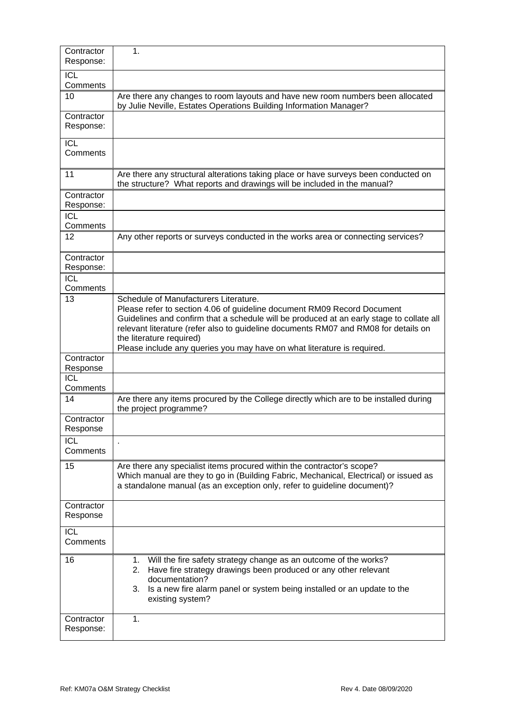| Contractor<br>Response: | 1.                                                                                                                                                                                                                                                                                                                                                                                                         |
|-------------------------|------------------------------------------------------------------------------------------------------------------------------------------------------------------------------------------------------------------------------------------------------------------------------------------------------------------------------------------------------------------------------------------------------------|
| <b>ICL</b>              |                                                                                                                                                                                                                                                                                                                                                                                                            |
| Comments                |                                                                                                                                                                                                                                                                                                                                                                                                            |
| 10                      | Are there any changes to room layouts and have new room numbers been allocated<br>by Julie Neville, Estates Operations Building Information Manager?                                                                                                                                                                                                                                                       |
| Contractor              |                                                                                                                                                                                                                                                                                                                                                                                                            |
| Response:               |                                                                                                                                                                                                                                                                                                                                                                                                            |
| <b>ICL</b>              |                                                                                                                                                                                                                                                                                                                                                                                                            |
| Comments                |                                                                                                                                                                                                                                                                                                                                                                                                            |
| 11                      | Are there any structural alterations taking place or have surveys been conducted on<br>the structure? What reports and drawings will be included in the manual?                                                                                                                                                                                                                                            |
| Contractor              |                                                                                                                                                                                                                                                                                                                                                                                                            |
| Response:               |                                                                                                                                                                                                                                                                                                                                                                                                            |
| <b>ICL</b><br>Comments  |                                                                                                                                                                                                                                                                                                                                                                                                            |
| 12                      | Any other reports or surveys conducted in the works area or connecting services?                                                                                                                                                                                                                                                                                                                           |
|                         |                                                                                                                                                                                                                                                                                                                                                                                                            |
| Contractor<br>Response: |                                                                                                                                                                                                                                                                                                                                                                                                            |
| <b>ICL</b>              |                                                                                                                                                                                                                                                                                                                                                                                                            |
| Comments                |                                                                                                                                                                                                                                                                                                                                                                                                            |
| 13                      | Schedule of Manufacturers Literature.<br>Please refer to section 4.06 of guideline document RM09 Record Document<br>Guidelines and confirm that a schedule will be produced at an early stage to collate all<br>relevant literature (refer also to guideline documents RM07 and RM08 for details on<br>the literature required)<br>Please include any queries you may have on what literature is required. |
| Contractor              |                                                                                                                                                                                                                                                                                                                                                                                                            |
| Response                |                                                                                                                                                                                                                                                                                                                                                                                                            |
| ICL<br>Comments         |                                                                                                                                                                                                                                                                                                                                                                                                            |
| 14                      | Are there any items procured by the College directly which are to be installed during                                                                                                                                                                                                                                                                                                                      |
|                         | the project programme?                                                                                                                                                                                                                                                                                                                                                                                     |
| Contractor<br>Response  |                                                                                                                                                                                                                                                                                                                                                                                                            |
| <b>ICL</b><br>Comments  |                                                                                                                                                                                                                                                                                                                                                                                                            |
|                         |                                                                                                                                                                                                                                                                                                                                                                                                            |
| 15                      | Are there any specialist items procured within the contractor's scope?<br>Which manual are they to go in (Building Fabric, Mechanical, Electrical) or issued as<br>a standalone manual (as an exception only, refer to guideline document)?                                                                                                                                                                |
| Contractor<br>Response  |                                                                                                                                                                                                                                                                                                                                                                                                            |
| <b>ICL</b>              |                                                                                                                                                                                                                                                                                                                                                                                                            |
| Comments                |                                                                                                                                                                                                                                                                                                                                                                                                            |
| 16                      | Will the fire safety strategy change as an outcome of the works?<br>1.                                                                                                                                                                                                                                                                                                                                     |
|                         | Have fire strategy drawings been produced or any other relevant<br>2.                                                                                                                                                                                                                                                                                                                                      |
|                         | documentation?                                                                                                                                                                                                                                                                                                                                                                                             |
|                         | Is a new fire alarm panel or system being installed or an update to the<br>3.<br>existing system?                                                                                                                                                                                                                                                                                                          |
| Contractor              | 1.                                                                                                                                                                                                                                                                                                                                                                                                         |
| Response:               |                                                                                                                                                                                                                                                                                                                                                                                                            |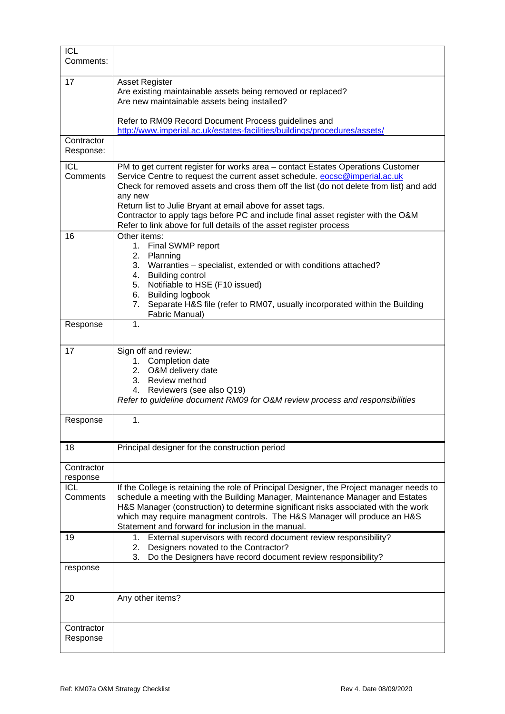| <b>ICL</b><br>Comments: |                                                                                                                                                                                                                                                                                                                                                                                                                                                                                            |
|-------------------------|--------------------------------------------------------------------------------------------------------------------------------------------------------------------------------------------------------------------------------------------------------------------------------------------------------------------------------------------------------------------------------------------------------------------------------------------------------------------------------------------|
| 17                      | <b>Asset Register</b><br>Are existing maintainable assets being removed or replaced?<br>Are new maintainable assets being installed?                                                                                                                                                                                                                                                                                                                                                       |
|                         | Refer to RM09 Record Document Process guidelines and<br>http://www.imperial.ac.uk/estates-facilities/buildings/procedures/assets/                                                                                                                                                                                                                                                                                                                                                          |
| Contractor<br>Response: |                                                                                                                                                                                                                                                                                                                                                                                                                                                                                            |
| <b>ICL</b><br>Comments  | PM to get current register for works area - contact Estates Operations Customer<br>Service Centre to request the current asset schedule. eocsc@imperial.ac.uk<br>Check for removed assets and cross them off the list (do not delete from list) and add<br>any new<br>Return list to Julie Bryant at email above for asset tags.<br>Contractor to apply tags before PC and include final asset register with the O&M<br>Refer to link above for full details of the asset register process |
| 16                      | Other items:<br>1. Final SWMP report<br>2. Planning<br>3.<br>Warranties - specialist, extended or with conditions attached?<br>4. Building control<br>Notifiable to HSE (F10 issued)<br>5.<br><b>Building logbook</b><br>6.<br>Separate H&S file (refer to RM07, usually incorporated within the Building<br>7.<br>Fabric Manual)                                                                                                                                                          |
| Response                | $\mathbf 1$ .                                                                                                                                                                                                                                                                                                                                                                                                                                                                              |
| 17                      | Sign off and review:<br>Completion date<br>1.<br>2. O&M delivery date<br>3. Review method<br>4. Reviewers (see also Q19)<br>Refer to guideline document RM09 for O&M review process and responsibilities                                                                                                                                                                                                                                                                                   |
| Response                | 1.                                                                                                                                                                                                                                                                                                                                                                                                                                                                                         |
| 18                      | Principal designer for the construction period                                                                                                                                                                                                                                                                                                                                                                                                                                             |
| Contractor<br>response  |                                                                                                                                                                                                                                                                                                                                                                                                                                                                                            |
| <b>ICL</b><br>Comments  | If the College is retaining the role of Principal Designer, the Project manager needs to<br>schedule a meeting with the Building Manager, Maintenance Manager and Estates<br>H&S Manager (construction) to determine significant risks associated with the work<br>which may require managment controls. The H&S Manager will produce an H&S<br>Statement and forward for inclusion in the manual.                                                                                         |
| 19                      | 1. External supervisors with record document review responsibility?<br>Designers novated to the Contractor?<br>2.<br>3.<br>Do the Designers have record document review responsibility?                                                                                                                                                                                                                                                                                                    |
| response                |                                                                                                                                                                                                                                                                                                                                                                                                                                                                                            |
| 20                      | Any other items?                                                                                                                                                                                                                                                                                                                                                                                                                                                                           |
| Contractor<br>Response  |                                                                                                                                                                                                                                                                                                                                                                                                                                                                                            |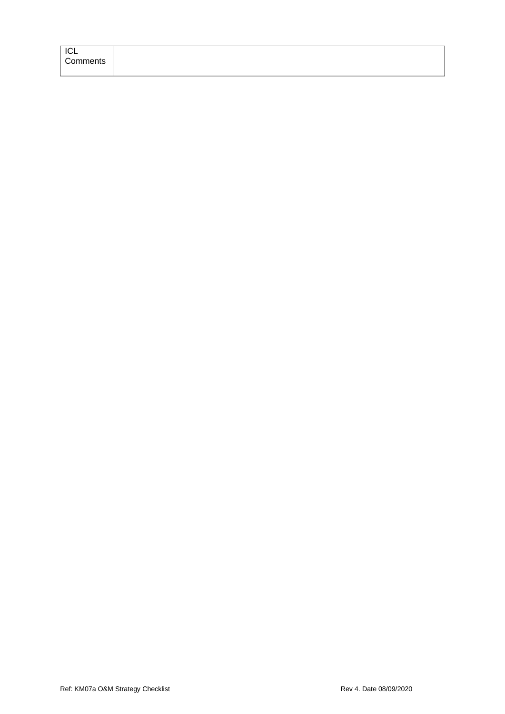| ICL      |
|----------|
| Comments |
|          |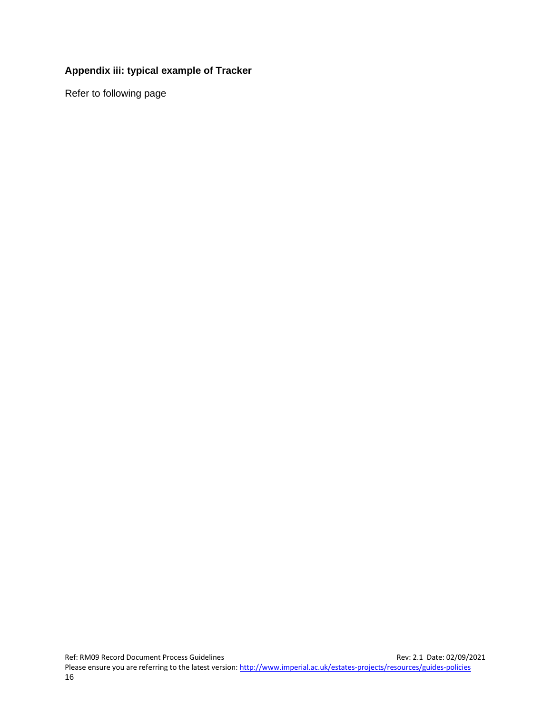#### <span id="page-21-1"></span><span id="page-21-0"></span>**Appendix iii: typical example of Tracker**

Refer to following page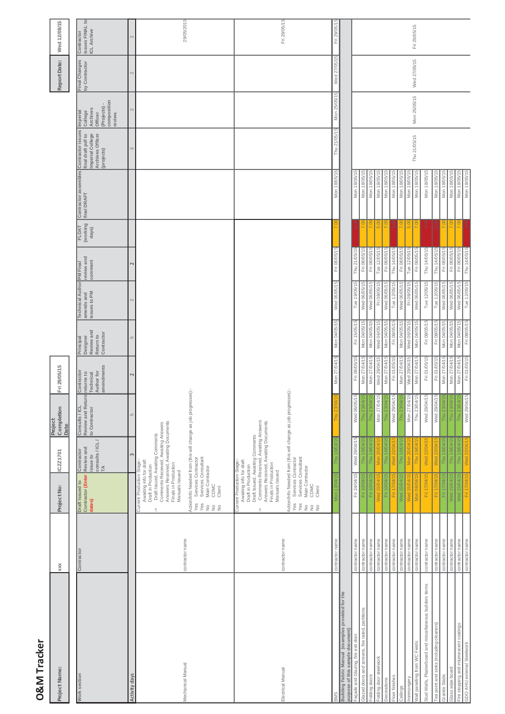| O&M Tracker                                                                           |                                    |                                                                                                                                                                                                                                                                                                 |                                                                                                                                        |                                                                |                                                                   |                                                                |                                                       |                                          |                            |                                     |                                                                                               |                                                                                    |                                |                                              |
|---------------------------------------------------------------------------------------|------------------------------------|-------------------------------------------------------------------------------------------------------------------------------------------------------------------------------------------------------------------------------------------------------------------------------------------------|----------------------------------------------------------------------------------------------------------------------------------------|----------------------------------------------------------------|-------------------------------------------------------------------|----------------------------------------------------------------|-------------------------------------------------------|------------------------------------------|----------------------------|-------------------------------------|-----------------------------------------------------------------------------------------------|------------------------------------------------------------------------------------|--------------------------------|----------------------------------------------|
| Project Name:                                                                         | xxx                                | Project No:                                                                                                                                                                                                                                                                                     | ICZZ1701                                                                                                                               | Completion<br>Project<br>Date                                  | Fri 29/05/15                                                      |                                                                |                                                       |                                          |                            |                                     |                                                                                               |                                                                                    | Report Date:                   | Wed 12/08/15                                 |
| Work section                                                                          | Contractor                         | Draft Issued to<br>Contractor (Enter<br>dates)                                                                                                                                                                                                                                                  | $\frac{1}{10}$ consults / ICL/<br>Review and<br>Contractor<br>issue to                                                                 | Consults / ICL<br>Review and Return<br>to Contractor           | amendments<br>Contractor<br>Author for<br>returns to<br>Technical | Principal<br>Designer<br>Review and<br>Return to<br>Contractor | <b>Technical Author</b><br>issues to PM<br>amends and | review and<br>comment<br><b>PM Final</b> | FLOAT<br>(working<br>days) | Contractor assembles<br>final DRAFT | Contractor issues<br>Imperial College<br>Archives Officer<br>final draft pdf to<br>(projects) | composition<br>(Projects)<br>College<br>Archives<br>Officer<br>Imperial<br>review. | Final Changes<br>by Contractor | issues FINAL to<br>ICL Archive<br>Contractor |
| Activity days                                                                         |                                    |                                                                                                                                                                                                                                                                                                 |                                                                                                                                        | LC.                                                            |                                                                   |                                                                |                                                       |                                          |                            |                                     |                                                                                               |                                                                                    |                                |                                              |
| Mechanical Manual                                                                     | contractor name                    | Services Contractor<br>Services Consultant<br>Awaiting info for draft<br>Current Production Stage<br>Draft in Production<br>Main Contractor<br>Manuals Issued<br>CDMC<br>Client<br>Yes<br>Yes<br>$\frac{1}{2}$<br>$rac{0}{2}$ $rac{0}{2}$<br>Ÿ                                                  | Answers Received, Awaiting Documents<br>Finals in Production<br>Comments Received, Awaiting Answers<br>Draft Issued, Awaiting Comments | Action/Info Needed from (this will change as job progresses):- |                                                                   |                                                                |                                                       |                                          |                            |                                     |                                                                                               |                                                                                    |                                | 29/05/2015                                   |
| Electrical Manual                                                                     | contractor name                    | Services Contractor<br>Services Consultant<br>Awaiting info for draft<br>Current Production Stage:<br>Finals in Production<br>Draft in Production<br>Main Contractor<br>Manuals Issued<br>CDMC<br>Client<br>Yes<br>Yes<br>$\frac{1}{2}$<br>$\stackrel{\circ}{\simeq}$<br>$\frac{\circ}{2}$<br>V | Comments Received, Awaiting Answers<br>Answers Received, Awaiting Documents<br>Draft Issued, Awaiting Comments                         | Action/Info Needed from (this will change as job progresses):- |                                                                   |                                                                |                                                       |                                          |                            |                                     |                                                                                               |                                                                                    |                                | Fri 29/05/15                                 |
| BMS                                                                                   | contractor name                    | δ                                                                                                                                                                                                                                                                                               |                                                                                                                                        |                                                                | Mon 27/04/15                                                      | Mon 04/05/15                                                   | Wed 06/05/15                                          | Fri 08/05/15                             |                            | Mon 18/05/15                        | Thu 21/05/15                                                                                  | Mon 25/05/15                                                                       | Wed 27/05/15                   | Fri 29/05/15                                 |
| Building Fabric Manual (examples provided for the<br>purpose of this sample document) |                                    |                                                                                                                                                                                                                                                                                                 |                                                                                                                                        |                                                                |                                                                   |                                                                |                                                       |                                          |                            |                                     |                                                                                               |                                                                                    |                                |                                              |
| Façade and Glazing, fire exit door                                                    | contractor name                    | Fri 24/04/15                                                                                                                                                                                                                                                                                    | Wed 29/04/15                                                                                                                           | $\frac{1}{2}$<br>Wed 06/05.                                    | Fri 08/05/15                                                      | Fri 15/05/15                                                   | Tue 19/05/15                                          | Thu 21/05/15                             |                            | Mon 18/05/15                        |                                                                                               |                                                                                    |                                |                                              |
| Glazed doors and screens, fire rated, partitions                                      | contractor name                    | 旧                                                                                                                                                                                                                                                                                               | Thu                                                                                                                                    | Thu                                                            | Mon 27/04/15                                                      | Mon 04/05/15                                                   | Wed 06/05/15                                          | Fri 08/05/15                             |                            | Mon 18/05/                          |                                                                                               |                                                                                    |                                |                                              |
| Folding doors                                                                         | contractor name                    | Fri 10/04/1                                                                                                                                                                                                                                                                                     | Thu 16/04/                                                                                                                             | Thu 23/0                                                       | Mon 27/04/15                                                      | Mon 04/05/15                                                   | Wed 06/05/15                                          | Fri 08/05/15                             |                            | Mon 18/05/15                        |                                                                                               |                                                                                    |                                |                                              |
| Folding door steelwork                                                                | contractor name                    | Ved 15/04                                                                                                                                                                                                                                                                                       | Mon 20/04/                                                                                                                             | $\frac{15}{10}$<br>Mon 27/04                                   | Wed 29/04/15                                                      | Wed 06/05/15                                                   | Fri 08/05/15                                          | Tue 12/05/15                             | 5.O                        | Mon 18/05/15                        |                                                                                               |                                                                                    |                                |                                              |
| Floor finishes<br>Decorations                                                         | contractor name<br>contractor name | Fri 10/04/15<br>Frii 17                                                                                                                                                                                                                                                                         | Thu 16/04/1<br>Ved 22                                                                                                                  | $\Phi$<br>Fhu                                                  | Fri 01/05/15<br>Mon 27/04/15                                      | Mon 04/05/15<br>Fri 08/05/15                                   | Tue 12/05/15<br>Wed 06/05/15                          | Thu 14/05/15<br>Fri 08/05/15             | $\overline{7.00}$          | Mon 18/05/15<br>Mon 18/05/1         |                                                                                               |                                                                                    |                                |                                              |
| Ceilings                                                                              | contractor name                    | Ned 15/04                                                                                                                                                                                                                                                                                       | Thu 16/04/                                                                                                                             |                                                                | Mon 27/04/15                                                      | Mon 04/05/15                                                   | Wed 06/05/15                                          | Fri 08/05/15                             |                            | Mon 18/05/1                         |                                                                                               |                                                                                    |                                |                                              |
| Ironmongery                                                                           | contractor name                    | Ned 15/04                                                                                                                                                                                                                                                                                       | Mon 20/04                                                                                                                              | Wed 29/04/15<br>Thu 23/04/15<br>Mon 27/04/15<br>Thu 23/04/15   | Wed 29/04/15                                                      | Wed 06/05/15                                                   | Fri 08/05/15                                          | Tue 12/05/15                             | 5.00                       | Mon 18/05/15                        |                                                                                               |                                                                                    |                                |                                              |
| Wall panelling from WC Fields                                                         | contractor name                    | Mon 06/04/1                                                                                                                                                                                                                                                                                     | Thu 16/04/1                                                                                                                            |                                                                | Mon 27/04/15                                                      | Mon 04/05/15                                                   | Wed 06/05/15                                          | Fri 08/05/15                             |                            | Mon 18/05/15                        | Thu 21/05/15                                                                                  | Mon 25/05/15                                                                       | Wed 27/05/15                   | Fri 29/05/15                                 |
| Stud Walls, Plasterboard and miscellaneous builders items                             | contractor name                    | Fri 17/04/15                                                                                                                                                                                                                                                                                    | Wed 22/04/15                                                                                                                           | Wed 29/04/15                                                   | Fri 01/05/15                                                      | Fri 08/05/15                                                   | Tue 12/05/15                                          | Thu 14/05/15                             | $\frac{3}{3}$              | Mon 18/05/15                        |                                                                                               |                                                                                    |                                |                                              |
| Tea point and sinks (including cleaners)                                              | contractor name                    | Fri 17/04/                                                                                                                                                                                                                                                                                      | Wed 22/04/1                                                                                                                            | Wed 29/04/15                                                   | Fri 01/05/15                                                      | Fri 08/05/15                                                   | Tue 12/05/15                                          | Thu 14/05/15                             |                            | Mon 18/05/15                        |                                                                                               |                                                                                    |                                |                                              |
| Granite Slabs                                                                         | contractor name                    | Fri 17/04/15                                                                                                                                                                                                                                                                                    | Thu 16/04/15                                                                                                                           | Thu                                                            | Mon 27/04/15                                                      | Mon 04/05/15                                                   | Wed 06/05/15                                          | Fri 08/05/15                             |                            | Mon 18/05/1                         |                                                                                               |                                                                                    |                                |                                              |
| Glass wipe board                                                                      | contractor name                    | Wed 15/04/1                                                                                                                                                                                                                                                                                     | Thu 16/04/1                                                                                                                            | Thu 23/04                                                      | Mon 27/04/15                                                      | Mon 04/05/15                                                   | Wed 06/05/15                                          | Fri 08/05/15                             |                            | Mon 18/05/1                         |                                                                                               |                                                                                    |                                |                                              |
| Fire stopping and intumescent coatings                                                | contractor name                    | Wed 15/04/15                                                                                                                                                                                                                                                                                    | Thu 16/04/15                                                                                                                           | fe<br>Thu 23/04                                                | Mon 27/04/15                                                      | Mon 04/05/15                                                   | Wed 06/05/15                                          | Fri 08/05/15                             |                            | Mon 18/05/15                        |                                                                                               |                                                                                    |                                |                                              |
| GDO AHU external Steelwork                                                            | contractor name                    | Fri 17/04/15                                                                                                                                                                                                                                                                                    | Wed 22/04/15                                                                                                                           | Wed 29/04/15                                                   | Fri 01/05/15                                                      | Fri 08/05/15                                                   | Tue 12/05/15                                          |                                          |                            | Mon 18/05/15                        |                                                                                               |                                                                                    |                                |                                              |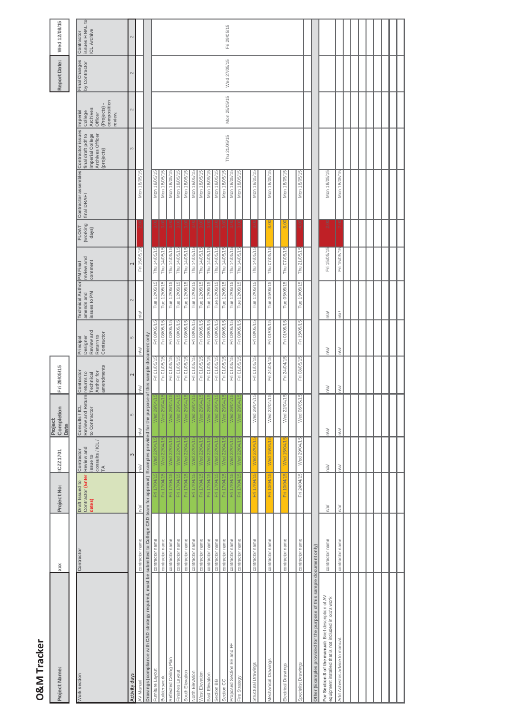| Project Name:                                                                                                                          | XXX             | Project No:                                    | ICZZ1701                                                                                                                      | Completion<br>Project<br>Date                        | Fri 29/05/15                                                      |                                                                |                                                       |                                          |                                   |                                                       |                                                                          |                                                                                  | Report Date:                   | Wed 12/08/15                                        |
|----------------------------------------------------------------------------------------------------------------------------------------|-----------------|------------------------------------------------|-------------------------------------------------------------------------------------------------------------------------------|------------------------------------------------------|-------------------------------------------------------------------|----------------------------------------------------------------|-------------------------------------------------------|------------------------------------------|-----------------------------------|-------------------------------------------------------|--------------------------------------------------------------------------|----------------------------------------------------------------------------------|--------------------------------|-----------------------------------------------------|
| Work section                                                                                                                           | Contractor      | Contractor (Enter<br>Draft Issued to<br>dates) | $\begin{array}{c c}\n\hline\n\text{consuits / ICL /}\n\hline\n\text{TA}\n\end{array}$<br>Review and<br>Contractor<br>issue to | Consults / ICL<br>Review and Return<br>to Contractor | amendments<br>Author for<br>Contractor<br>returns to<br>Technical | Review and<br>Contractor<br>Return to<br>Principal<br>Designer | <b>Technical Author</b><br>issues to PM<br>amends and | review and<br>comment<br><b>PM</b> Final | (working<br><b>FLOAT</b><br>days) | Contractor assembles Contractor issues<br>final DRAFT | Imperial College<br>Archives Officer<br>final draft pdf to<br>(projects) | composition<br>Projects)<br>Archives<br>College<br>Imperia<br>Officer<br>review. | Final Changes<br>by Contractor | issues FINAL to<br><b>ICL Archive</b><br>Contractor |
| Activity days                                                                                                                          |                 |                                                | 3                                                                                                                             | $\overline{5}$                                       | 2                                                                 | 5                                                              | $\sim$                                                |                                          |                                   |                                                       | 3                                                                        | $\sim$                                                                           | $\sim$                         | $\mathbf{\Omega}$                                   |
| AV Manual                                                                                                                              | contractor name | n/a                                            | n/a/                                                                                                                          | h/a/                                                 | h/a/                                                              | n/a                                                            | le/u                                                  | Fri 15/05/15                             |                                   | Mon 18/05/15                                          |                                                                          |                                                                                  |                                |                                                     |
| Drawings (compliance with CAD strategy required, must be submitted to College CAD team for approval) Examples provided for the purpose |                 |                                                |                                                                                                                               |                                                      | of this sample document only                                      |                                                                |                                                       |                                          |                                   |                                                       |                                                                          |                                                                                  |                                |                                                     |
| Furniture Layout                                                                                                                       | contractor name | Fri 17/04/15                                   | Wed 22/04/15                                                                                                                  | Wed 29/04                                            | Fri 01/05/15                                                      | Fri 08/05/15                                                   | Tue 12/05/15                                          | Thu 14/05/15                             |                                   | Mon 18/05/15                                          |                                                                          |                                                                                  |                                |                                                     |
| Builderswork                                                                                                                           | contractor name | Fri 17/04/15                                   | Wed 22/04/15                                                                                                                  | Wed 29/04/                                           | Fri 01/05/15                                                      | Fri 08/05/15                                                   | Tue 12/05/15                                          | Thu 14/05/15                             |                                   | Mon 18/05/15                                          |                                                                          |                                                                                  |                                |                                                     |
| Reflected Ceiling Plan                                                                                                                 | contractor name | Fri 17/04/15                                   | Wed 22/04/15                                                                                                                  | Wed 29/04/1                                          | Fri 01/05/15                                                      | Fri 08/05/15                                                   | Tue 12/05/15                                          | Thu 14/05/15                             |                                   | Mon 18/05/15                                          |                                                                          |                                                                                  |                                |                                                     |
| Finishes Layout                                                                                                                        | contractor name | Fri 17/04/15                                   | Wed 22/04/15                                                                                                                  | Wed 29/04/*                                          | Fri 01/05/15                                                      | Fri 08/05/15                                                   | Tue 12/05/15                                          | Thu 14/05/15                             |                                   | Mon 18/05/15                                          |                                                                          |                                                                                  |                                |                                                     |
| South Elevation                                                                                                                        | contractor name | Fri 17/04/15                                   | Wed 22/04/15                                                                                                                  | Wed 29/04/1                                          | Fri 01/05/15                                                      | Fri 08/05/15                                                   | Tue 12/05/15                                          | Thu 14/05/15                             |                                   | Mon 18/05/15                                          |                                                                          |                                                                                  |                                |                                                     |
| North Elevation                                                                                                                        | contractor name | Fri 17/04/15                                   | Wed 22/04/15                                                                                                                  | Wed 29/04/                                           | Fri 01/05/15                                                      | Fri 08/05/15                                                   | Tue 12/05/15                                          | Thu 14/05/15                             |                                   | Mon 18/05/15                                          |                                                                          |                                                                                  |                                |                                                     |
| West Elevation                                                                                                                         | contractor name | Fri 17/04/15                                   | Wed 22/04/15                                                                                                                  | Wed 29/04/                                           | Fri 01/05/15                                                      | Fri 08/05/15                                                   | Tue 12/05/15                                          | Thu 14/05/15                             |                                   | Mon 18/05/15                                          |                                                                          |                                                                                  |                                |                                                     |
| East Elevation                                                                                                                         | contractor name | Fri 17/04/15                                   | Wed 22/04/15                                                                                                                  | Wed 29/04/                                           | Fri 01/05/15                                                      | Fri 08/05/15                                                   | Tue 12/05/15                                          | Thu 14/05/15                             |                                   | Mon 18/05/15                                          |                                                                          |                                                                                  |                                |                                                     |
| Section BB                                                                                                                             | contractor name | Fri 17/04/15                                   | Wed 22/04/15                                                                                                                  | Wed 29/04/1                                          | Fri 01/05/15                                                      | Fri 08/05/15                                                   | Tue 12/05/15                                          | Thu 14/05/15                             |                                   | Mon 18/05/1                                           |                                                                          |                                                                                  |                                |                                                     |
| Section CC                                                                                                                             | contractor name | Fri 17/04/15                                   | Wed 22/04/15                                                                                                                  | Wed 29/04/                                           | Fri 01/05/15                                                      | Fri 08/05/15                                                   | Tue 12/05/15                                          | Thu 14/05/15                             |                                   | Mon 18/05/15                                          |                                                                          |                                                                                  |                                |                                                     |
| Proposed Section EE and FF                                                                                                             | contractor name | Fri 17/04/15                                   | Wed 22/04/15                                                                                                                  | Wed 29/04/                                           | Fri 01/05/15                                                      | Fri 08/05/15                                                   | Tue 12/05/15                                          | Thu 14/05/15                             |                                   | Mon 18/05/15                                          | Thu 21/05/15                                                             | Mon 25/05/15                                                                     | Wed 27/05/15                   | Fri 29/05/15                                        |
| Fire Strategy                                                                                                                          | contractor name | Fri 17/04/15                                   | Wed 22/04/15                                                                                                                  | Wed 29/04/1                                          | Fri 01/05/15                                                      | Fri 08/05/15                                                   | Tue 12/05/15                                          | Thu 14/05/15                             |                                   | Mon 18/05/15                                          |                                                                          |                                                                                  |                                |                                                     |
|                                                                                                                                        |                 |                                                |                                                                                                                               |                                                      |                                                                   |                                                                |                                                       |                                          |                                   |                                                       |                                                                          |                                                                                  |                                |                                                     |
| Structural Drawings                                                                                                                    | contractor name | Fri 17                                         |                                                                                                                               | Wed 29/04/1                                          | Fri 01/05/15                                                      | Fri 08/05/15                                                   | Tue 12/05/15                                          | Thu 14/05/15                             |                                   | Mon 18/05/15                                          |                                                                          |                                                                                  |                                |                                                     |
|                                                                                                                                        |                 |                                                |                                                                                                                               |                                                      |                                                                   |                                                                |                                                       |                                          |                                   |                                                       |                                                                          |                                                                                  |                                |                                                     |
| Mechanical Drawings                                                                                                                    | contractor name | Fri 10/04/15                                   | Wed 15/04/19                                                                                                                  | 5<br>Wed 22/04/1                                     | Fri 24/04/15                                                      | Fri 01/05/15                                                   | Tue 05/05/15                                          | Thu 07/05/15                             | 8.00                              | Mon 18/05/15                                          |                                                                          |                                                                                  |                                |                                                     |
|                                                                                                                                        |                 |                                                |                                                                                                                               |                                                      |                                                                   |                                                                |                                                       |                                          |                                   |                                                       |                                                                          |                                                                                  |                                |                                                     |
| Electrical Drawings                                                                                                                    | contractor name | Fri 10.                                        | <b>Med</b>                                                                                                                    | 5<br>Wed 22/04/1                                     | Fri 24/04/15                                                      | Fri 01/05/15                                                   | Tue 05/05/15                                          | Thu 07/05/15                             | $\frac{0}{8}$                     | Mon 18/05/15                                          |                                                                          |                                                                                  |                                |                                                     |
|                                                                                                                                        |                 |                                                |                                                                                                                               |                                                      |                                                                   |                                                                |                                                       |                                          |                                   |                                                       |                                                                          |                                                                                  |                                |                                                     |
| Specialist Drawings                                                                                                                    | contractor name | Fri 24/04/15                                   | Wed 29/04/15                                                                                                                  | 5<br>Wed 06/05/1                                     | Fri 08/05/15                                                      | Fri 15/05/15                                                   | Tue 19/05/15                                          | Thu 21/05/15                             |                                   | Mon 18/05/15                                          |                                                                          |                                                                                  |                                |                                                     |
| Other (Examples provided for the purpose of this sample document only)                                                                 |                 |                                                |                                                                                                                               |                                                      |                                                                   |                                                                |                                                       |                                          |                                   |                                                       |                                                                          |                                                                                  |                                |                                                     |
| For Section 8 of the manual: Brief description of AV<br>equipment installed that is not included in xxx's work                         | contractor name | n/a                                            | n/a                                                                                                                           | n/a                                                  | n/a/                                                              | n/a/                                                           | n/a/                                                  | Fri 15/05/15                             | 2.00                              | Mon 18/05/15                                          |                                                                          |                                                                                  |                                |                                                     |
| Add Asbestos advice to manual.                                                                                                         | contractor name | n/a/                                           | n/a/                                                                                                                          | n/a/                                                 | ln/a/                                                             | va/                                                            | n/a/                                                  | Fri 15/05/15                             |                                   | Mon 18/05/15                                          |                                                                          |                                                                                  |                                |                                                     |
|                                                                                                                                        |                 |                                                |                                                                                                                               |                                                      |                                                                   |                                                                |                                                       |                                          |                                   |                                                       |                                                                          |                                                                                  |                                |                                                     |
|                                                                                                                                        |                 |                                                |                                                                                                                               |                                                      |                                                                   |                                                                |                                                       |                                          |                                   |                                                       |                                                                          |                                                                                  |                                |                                                     |
|                                                                                                                                        |                 |                                                |                                                                                                                               |                                                      |                                                                   |                                                                |                                                       |                                          |                                   |                                                       |                                                                          |                                                                                  |                                |                                                     |
|                                                                                                                                        |                 |                                                |                                                                                                                               |                                                      |                                                                   |                                                                |                                                       |                                          |                                   |                                                       |                                                                          |                                                                                  |                                |                                                     |
|                                                                                                                                        |                 |                                                |                                                                                                                               |                                                      |                                                                   |                                                                |                                                       |                                          |                                   |                                                       |                                                                          |                                                                                  |                                |                                                     |
|                                                                                                                                        |                 |                                                |                                                                                                                               |                                                      |                                                                   |                                                                |                                                       |                                          |                                   |                                                       |                                                                          |                                                                                  |                                |                                                     |
|                                                                                                                                        |                 |                                                |                                                                                                                               |                                                      |                                                                   |                                                                |                                                       |                                          |                                   |                                                       |                                                                          |                                                                                  |                                |                                                     |

**O&M Tracker**

O&M Tracker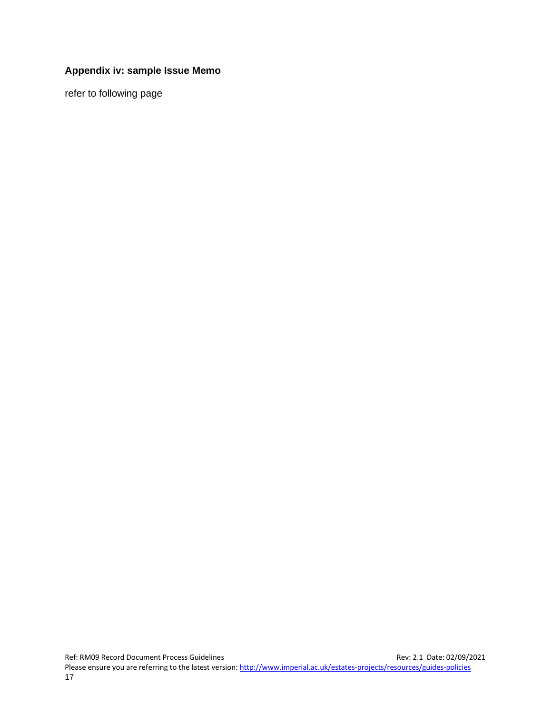#### <span id="page-24-0"></span>**Appendix iv: sample Issue Memo**

refer to following page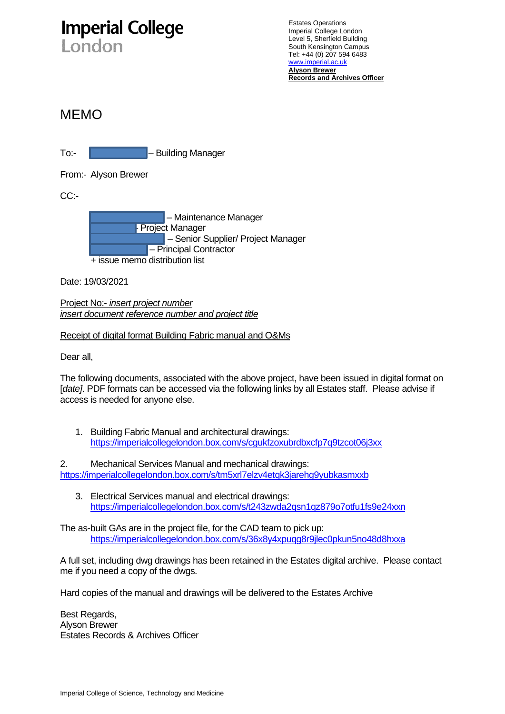# **Imperial College**

London

Estates Operations Imperial College London Level 5, Sherfield Building South Kensington Campus Tel: +44 (0) 207 594 6483 [www.imperial.ac.uk](http://www.imperial.ic.ac.uk/) **Alyson Brewer Records and Archives Officer**

### MEMO

To:- **Jolen Line Communist – Building Manager** 

From:- Alyson Brewer

CC:-



Date: 19/03/2021

Project No:- *insert project number insert document reference number and project title*

#### Receipt of digital format Building Fabric manual and O&Ms

Dear all,

The following documents, associated with the above project, have been issued in digital format on [*date]*. PDF formats can be accessed via the following links by all Estates staff. Please advise if access is needed for anyone else.

1. Building Fabric Manual and architectural drawings: <https://imperialcollegelondon.box.com/s/cgukfzoxubrdbxcfp7q9tzcot06j3xx>

2. Mechanical Services Manual and mechanical drawings: <https://imperialcollegelondon.box.com/s/tm5xrl7elzv4etqk3jarehg9yubkasmxxb>

3. Electrical Services manual and electrical drawings: <https://imperialcollegelondon.box.com/s/t243zwda2qsn1qz879o7otfu1fs9e24xxn>

The as-built GAs are in the project file, for the CAD team to pick up: <https://imperialcollegelondon.box.com/s/36x8y4xpuqg8r9jlec0pkun5no48d8hxxa>

A full set, including dwg drawings has been retained in the Estates digital archive. Please contact me if you need a copy of the dwgs.

Hard copies of the manual and drawings will be delivered to the Estates Archive

Best Regards, Alyson Brewer Estates Records & Archives Officer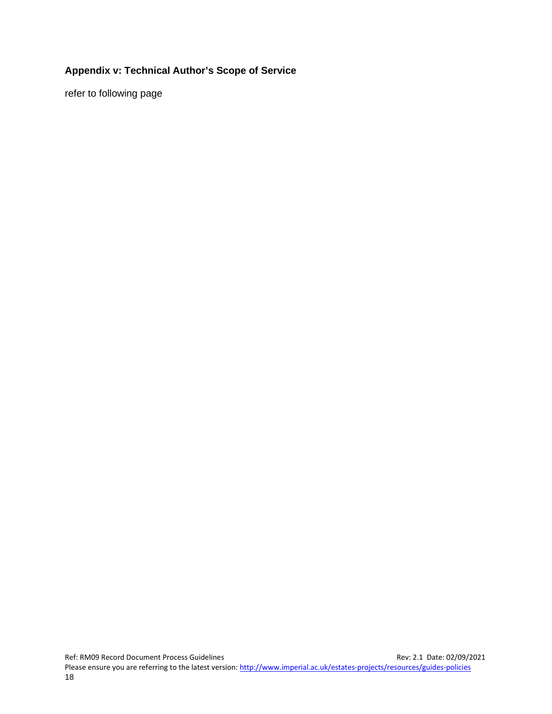#### <span id="page-26-0"></span>**Appendix v: Technical Author's Scope of Service**

refer to following page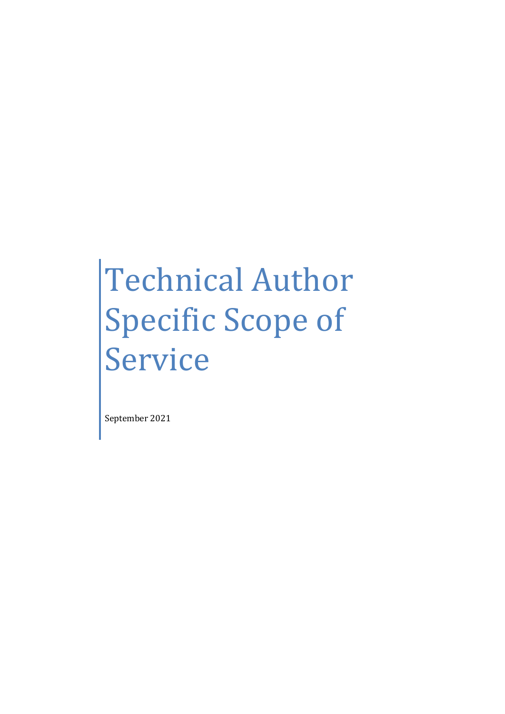# Technical Author Specific Scope of Service

September 2021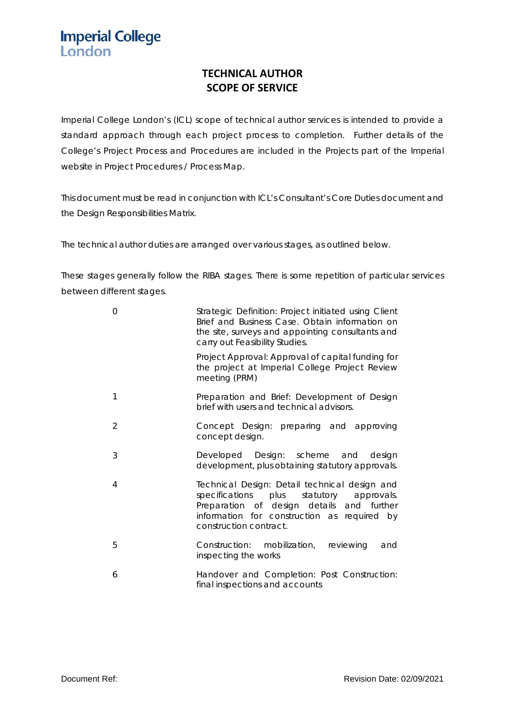**Imperial College** London

#### **TECHNICAL AUTHOR SCOPE OF SERVICE**

Imperial College London's (ICL) scope of technical author services is intended to provide a standard approach through each project process to completion. Further details of the College's Project Process and Procedures are included in the Projects part of the Imperial website in Project Procedures / Process Map.

This document must be read in conjunction with ICL's Consultant's Core Duties document and the Design Responsibilities Matrix.

The technical author duties are arranged over various stages, as outlined below.

These stages generally follow the RIBA stages. There is some repetition of particular services between different stages.

| $\Omega$      | Strategic Definition: Project initiated using Client<br>Brief and Business Case. Obtain information on<br>the site, surveys and appointing consultants and<br>carry out Feasibility Studies.                       |
|---------------|--------------------------------------------------------------------------------------------------------------------------------------------------------------------------------------------------------------------|
|               | Project Approval: Approval of capital funding for<br>the project at Imperial College Project Review<br>meeting (PRM)                                                                                               |
| 1             | Preparation and Brief: Development of Design<br>brief with users and technical advisors.                                                                                                                           |
| $\mathcal{D}$ | Concept Design: preparing and approving<br>concept design.                                                                                                                                                         |
| 3             | Developed Design: scheme and<br>design<br>development, plus obtaining statutory approvals.                                                                                                                         |
| 4             | Technical Design: Detail technical design and<br>specifications plus statutory<br>approvals.<br>Preparation of design details and further<br>information for construction as required by<br>construction contract. |
| 5             | Construction: mobilization, reviewing<br>and<br>inspecting the works                                                                                                                                               |
| 6             | Handover and Completion: Post Construction:<br>final inspections and accounts                                                                                                                                      |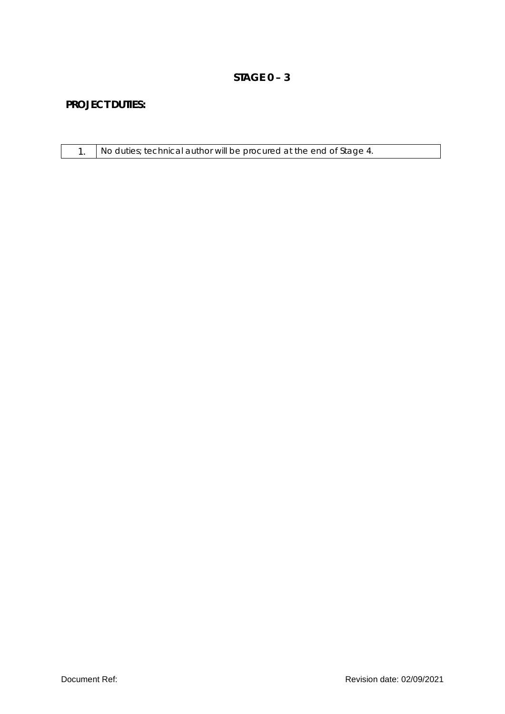#### **STAGE 0 – 3**

|  | No duties; technical author will be procured at the end of Stage 4. |
|--|---------------------------------------------------------------------|
|--|---------------------------------------------------------------------|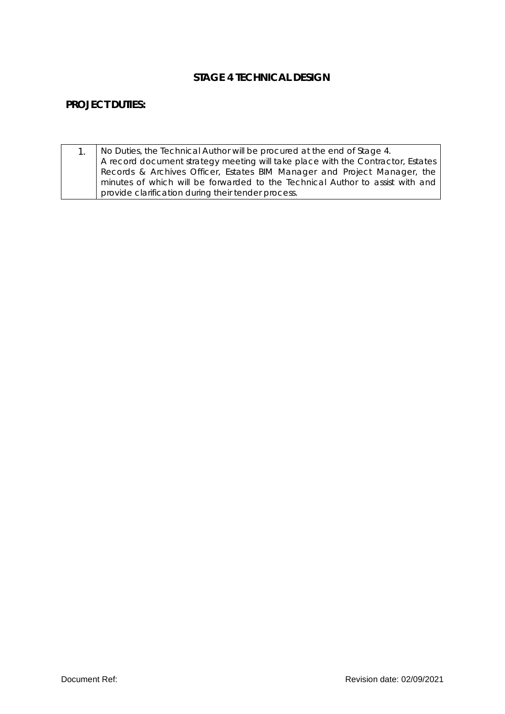#### **STAGE 4 TECHNICAL DESIGN**

| No Duties, the Technical Author will be procured at the end of Stage 4.         |
|---------------------------------------------------------------------------------|
| A record document strategy meeting will take place with the Contractor, Estates |
| Records & Archives Officer, Estates BIM Manager and Project Manager, the        |
| minutes of which will be forwarded to the Technical Author to assist with and   |
| provide clarification during their tender process.                              |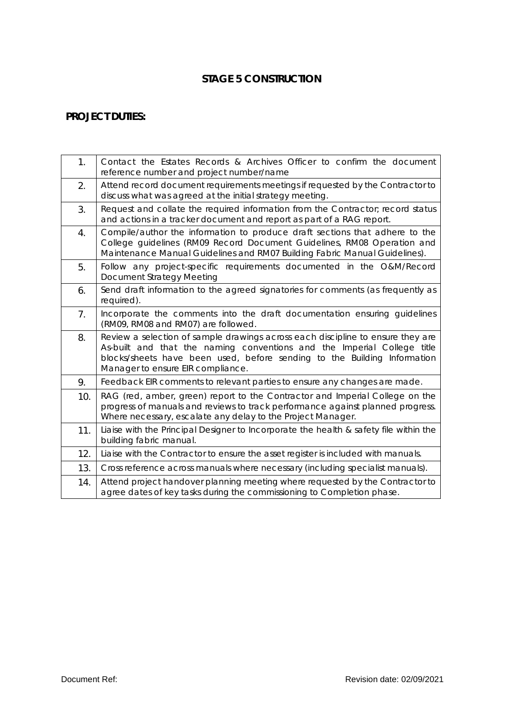#### **STAGE 5 CONSTRUCTION**

| 1.  | Contact the Estates Records & Archives Officer to confirm the document<br>reference number and project number/name                                                                                                                                                          |
|-----|-----------------------------------------------------------------------------------------------------------------------------------------------------------------------------------------------------------------------------------------------------------------------------|
| 2.  | Attend record document requirements meetings if requested by the Contractor to<br>discuss what was agreed at the initial strategy meeting.                                                                                                                                  |
| 3.  | Request and collate the required information from the Contractor; record status<br>and actions in a tracker document and report as part of a RAG report.                                                                                                                    |
| 4.  | Compile/author the information to produce draft sections that adhere to the<br>College guidelines (RM09 Record Document Guidelines, RM08 Operation and<br>Maintenance Manual Guidelines and RM07 Building Fabric Manual Guidelines).                                        |
| 5.  | Follow any project-specific requirements documented in the O&M/Record<br><b>Document Strategy Meeting</b>                                                                                                                                                                   |
| 6.  | Send draft information to the agreed signatories for comments (as frequently as<br>required).                                                                                                                                                                               |
| 7.  | Incorporate the comments into the draft documentation ensuring guidelines<br>(RM09, RM08 and RM07) are followed.                                                                                                                                                            |
| 8.  | Review a selection of sample drawings across each discipline to ensure they are<br>As-built and that the naming conventions and the Imperial College title<br>blocks/sheets have been used, before sending to the Building Information<br>Manager to ensure EIR compliance. |
| 9.  | Feedback EIR comments to relevant parties to ensure any changes are made.                                                                                                                                                                                                   |
| 10. | RAG (red, amber, green) report to the Contractor and Imperial College on the<br>progress of manuals and reviews to track performance against planned progress.<br>Where necessary, escalate any delay to the Project Manager.                                               |
| 11. | Liaise with the Principal Designer to Incorporate the health & safety file within the<br>building fabric manual.                                                                                                                                                            |
| 12. | Liaise with the Contractor to ensure the asset register is included with manuals.                                                                                                                                                                                           |
| 13. | Cross reference across manuals where necessary (including specialist manuals).                                                                                                                                                                                              |
| 14. | Attend project handover planning meeting where requested by the Contractor to<br>agree dates of key tasks during the commissioning to Completion phase.                                                                                                                     |